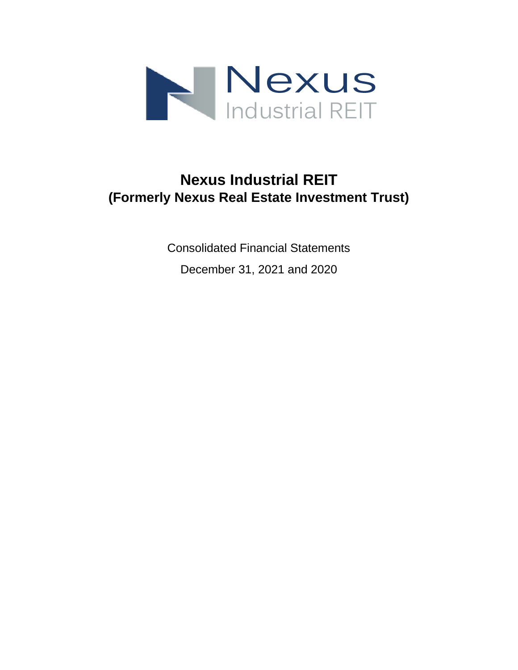

# **Nexus Industrial REIT (Formerly Nexus Real Estate Investment Trust)**

Consolidated Financial Statements December 31, 2021 and 2020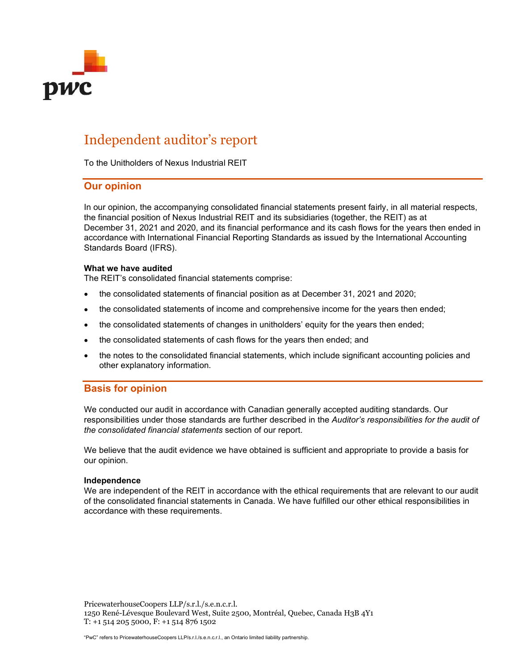

# Independent auditor's report

To the Unitholders of Nexus Industrial REIT

### Our opinion

In our opinion, the accompanying consolidated financial statements present fairly, in all material respects, the financial position of Nexus Industrial REIT and its subsidiaries (together, the REIT) as at December 31, 2021 and 2020, and its financial performance and its cash flows for the years then ended in accordance with International Financial Reporting Standards as issued by the International Accounting Standards Board (IFRS).

#### What we have audited

The REIT's consolidated financial statements comprise:

- the consolidated statements of financial position as at December 31, 2021 and 2020;
- the consolidated statements of income and comprehensive income for the years then ended;
- the consolidated statements of changes in unitholders' equity for the years then ended;
- the consolidated statements of cash flows for the years then ended; and
- the notes to the consolidated financial statements, which include significant accounting policies and other explanatory information.

### Basis for opinion

We conducted our audit in accordance with Canadian generally accepted auditing standards. Our responsibilities under those standards are further described in the Auditor's responsibilities for the audit of the consolidated financial statements section of our report.

We believe that the audit evidence we have obtained is sufficient and appropriate to provide a basis for our opinion.

#### Independence

We are independent of the REIT in accordance with the ethical requirements that are relevant to our audit of the consolidated financial statements in Canada. We have fulfilled our other ethical responsibilities in accordance with these requirements.

PricewaterhouseCoopers LLP/s.r.l./s.e.n.c.r.l. 1250 René-Lévesque Boulevard West, Suite 2500, Montréal, Quebec, Canada H3B 4Y1 T: +1 514 205 5000, F: +1 514 876 1502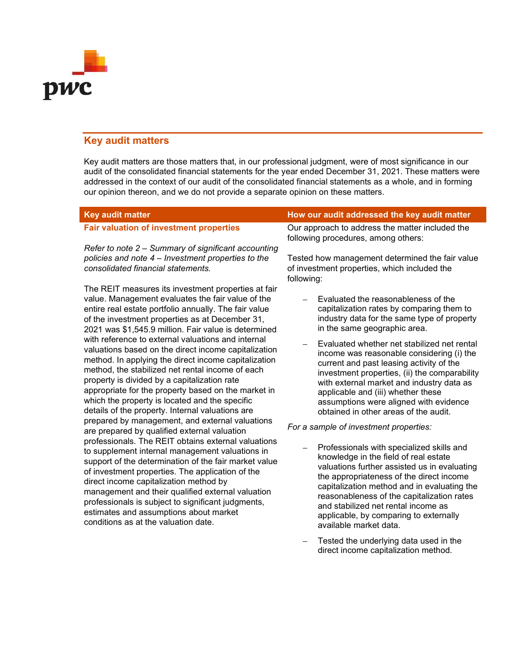

## Key audit matters

Key audit matters are those matters that, in our professional judgment, were of most significance in our audit of the consolidated financial statements for the year ended December 31, 2021. These matters were addressed in the context of our audit of the consolidated financial statements as a whole, and in forming our opinion thereon, and we do not provide a separate opinion on these matters.

### Fair valuation of investment properties

Refer to note 2 – Summary of significant accounting policies and note 4 – Investment properties to the consolidated financial statements.

The REIT measures its investment properties at fair value. Management evaluates the fair value of the entire real estate portfolio annually. The fair value of the investment properties as at December 31, 2021 was \$1,545.9 million. Fair value is determined with reference to external valuations and internal valuations based on the direct income capitalization method. In applying the direct income capitalization method, the stabilized net rental income of each property is divided by a capitalization rate appropriate for the property based on the market in which the property is located and the specific details of the property. Internal valuations are prepared by management, and external valuations are prepared by qualified external valuation professionals. The REIT obtains external valuations to supplement internal management valuations in support of the determination of the fair market value of investment properties. The application of the direct income capitalization method by management and their qualified external valuation professionals is subject to significant judgments, estimates and assumptions about market conditions as at the valuation date.

#### Key audit matter **How our audit addressed the key audit matter** How our audit addressed the key audit matter

Our approach to address the matter included the following procedures, among others:

Tested how management determined the fair value of investment properties, which included the following:

- Evaluated the reasonableness of the capitalization rates by comparing them to industry data for the same type of property in the same geographic area.
- Evaluated whether net stabilized net rental income was reasonable considering (i) the current and past leasing activity of the investment properties, (ii) the comparability with external market and industry data as applicable and (iii) whether these assumptions were aligned with evidence obtained in other areas of the audit.

#### For a sample of investment properties:

- Professionals with specialized skills and knowledge in the field of real estate valuations further assisted us in evaluating the appropriateness of the direct income capitalization method and in evaluating the reasonableness of the capitalization rates and stabilized net rental income as applicable, by comparing to externally available market data.
- Tested the underlying data used in the direct income capitalization method.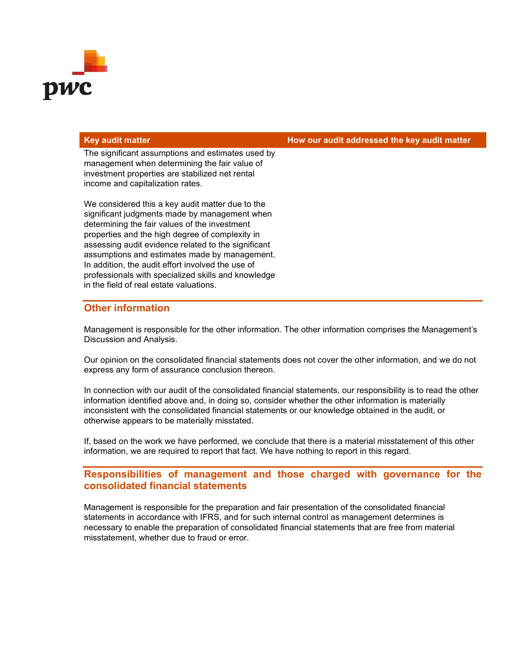

Key audit matter **How our audit addressed the key audit matter** 

The significant assumptions and estimates used by management when determining the fair value of investment properties are stabilized net rental income and capitalization rates.

We considered this a key audit matter due to the significant judgments made by management when determining the fair values of the investment properties and the high degree of complexity in assessing audit evidence related to the significant assumptions and estimates made by management. In addition, the audit effort involved the use of professionals with specialized skills and knowledge in the field of real estate valuations.

### Other information

Management is responsible for the other information. The other information comprises the Management's Discussion and Analysis.

Our opinion on the consolidated financial statements does not cover the other information, and we do not express any form of assurance conclusion thereon.

In connection with our audit of the consolidated financial statements, our responsibility is to read the other information identified above and, in doing so, consider whether the other information is materially inconsistent with the consolidated financial statements or our knowledge obtained in the audit, or otherwise appears to be materially misstated.

If, based on the work we have performed, we conclude that there is a material misstatement of this other information, we are required to report that fact. We have nothing to report in this regard.

## Responsibilities of management and those charged with governance for the consolidated financial statements

Management is responsible for the preparation and fair presentation of the consolidated financial statements in accordance with IFRS, and for such internal control as management determines is necessary to enable the preparation of consolidated financial statements that are free from material misstatement, whether due to fraud or error.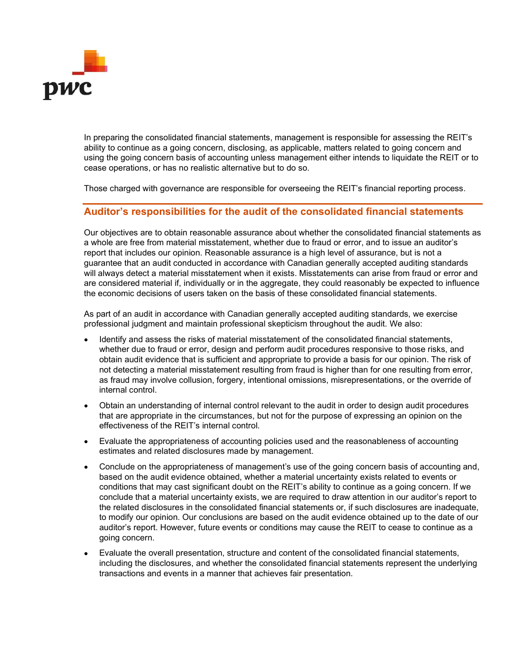

In preparing the consolidated financial statements, management is responsible for assessing the REIT's ability to continue as a going concern, disclosing, as applicable, matters related to going concern and using the going concern basis of accounting unless management either intends to liquidate the REIT or to cease operations, or has no realistic alternative but to do so.

Those charged with governance are responsible for overseeing the REIT's financial reporting process.

## Auditor's responsibilities for the audit of the consolidated financial statements

Our objectives are to obtain reasonable assurance about whether the consolidated financial statements as a whole are free from material misstatement, whether due to fraud or error, and to issue an auditor's report that includes our opinion. Reasonable assurance is a high level of assurance, but is not a guarantee that an audit conducted in accordance with Canadian generally accepted auditing standards will always detect a material misstatement when it exists. Misstatements can arise from fraud or error and are considered material if, individually or in the aggregate, they could reasonably be expected to influence the economic decisions of users taken on the basis of these consolidated financial statements.

As part of an audit in accordance with Canadian generally accepted auditing standards, we exercise professional judgment and maintain professional skepticism throughout the audit. We also:

- Identify and assess the risks of material misstatement of the consolidated financial statements, whether due to fraud or error, design and perform audit procedures responsive to those risks, and obtain audit evidence that is sufficient and appropriate to provide a basis for our opinion. The risk of not detecting a material misstatement resulting from fraud is higher than for one resulting from error, as fraud may involve collusion, forgery, intentional omissions, misrepresentations, or the override of internal control.
- Obtain an understanding of internal control relevant to the audit in order to design audit procedures that are appropriate in the circumstances, but not for the purpose of expressing an opinion on the effectiveness of the REIT's internal control.
- Evaluate the appropriateness of accounting policies used and the reasonableness of accounting estimates and related disclosures made by management.
- Conclude on the appropriateness of management's use of the going concern basis of accounting and, based on the audit evidence obtained, whether a material uncertainty exists related to events or conditions that may cast significant doubt on the REIT's ability to continue as a going concern. If we conclude that a material uncertainty exists, we are required to draw attention in our auditor's report to the related disclosures in the consolidated financial statements or, if such disclosures are inadequate, to modify our opinion. Our conclusions are based on the audit evidence obtained up to the date of our auditor's report. However, future events or conditions may cause the REIT to cease to continue as a going concern.
- Evaluate the overall presentation, structure and content of the consolidated financial statements, including the disclosures, and whether the consolidated financial statements represent the underlying transactions and events in a manner that achieves fair presentation.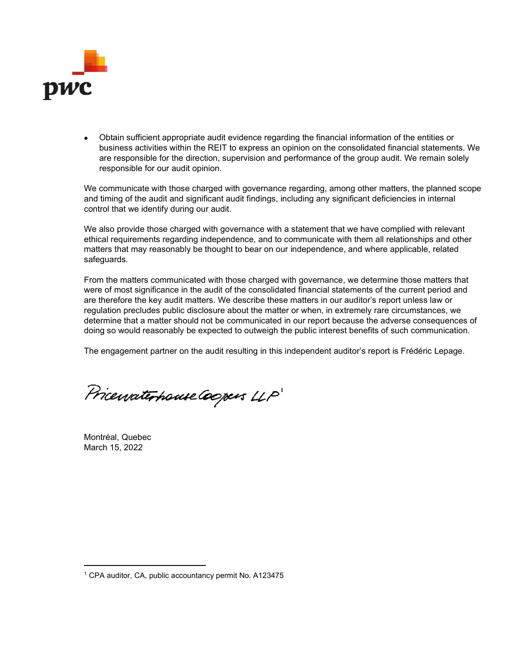

 Obtain sufficient appropriate audit evidence regarding the financial information of the entities or business activities within the REIT to express an opinion on the consolidated financial statements. We are responsible for the direction, supervision and performance of the group audit. We remain solely responsible for our audit opinion.

We communicate with those charged with governance regarding, among other matters, the planned scope and timing of the audit and significant audit findings, including any significant deficiencies in internal control that we identify during our audit.

We also provide those charged with governance with a statement that we have complied with relevant ethical requirements regarding independence, and to communicate with them all relationships and other matters that may reasonably be thought to bear on our independence, and where applicable, related safeguards.

From the matters communicated with those charged with governance, we determine those matters that were of most significance in the audit of the consolidated financial statements of the current period and are therefore the key audit matters. We describe these matters in our auditor's report unless law or regulation precludes public disclosure about the matter or when, in extremely rare circumstances, we determine that a matter should not be communicated in our report because the adverse consequences of doing so would reasonably be expected to outweigh the public interest benefits of such communication.

The engagement partner on the audit resulting in this independent auditor's report is Frédéric Lepage.

Pricewaterhouse Coopers LLP

Montréal, Quebec March 15, 2022

<sup>&</sup>lt;sup>1</sup> CPA auditor, CA, public accountancy permit No. A123475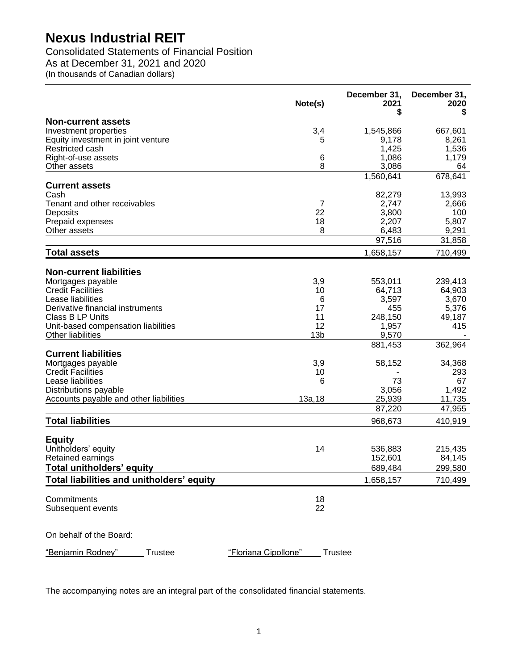Consolidated Statements of Financial Position As at December 31, 2021 and 2020

(In thousands of Canadian dollars)

|                                           | Note(s)                                | December 31,<br>2021<br>\$ | December 31,<br>2020<br>S |
|-------------------------------------------|----------------------------------------|----------------------------|---------------------------|
| <b>Non-current assets</b>                 |                                        |                            |                           |
| Investment properties                     | 3,4                                    | 1,545,866                  | 667,601                   |
| Equity investment in joint venture        | 5                                      | 9,178                      | 8,261                     |
| Restricted cash                           |                                        | 1,425                      | 1,536                     |
| Right-of-use assets                       | 6                                      | 1,086                      | 1,179                     |
| Other assets                              | 8                                      | 3,086                      | 64                        |
| <b>Current assets</b>                     |                                        | 1,560,641                  | 678,641                   |
| Cash                                      |                                        | 82,279                     | 13,993                    |
| Tenant and other receivables              | 7                                      | 2,747                      | 2,666                     |
| Deposits                                  | 22                                     | 3,800                      | 100                       |
| Prepaid expenses                          | 18                                     | 2,207                      | 5,807                     |
| Other assets                              | 8                                      | 6,483                      | 9,291                     |
|                                           |                                        | 97,516                     | 31,858                    |
| <b>Total assets</b>                       |                                        | 1,658,157                  | 710,499                   |
| <b>Non-current liabilities</b>            |                                        |                            |                           |
| Mortgages payable                         | 3,9                                    | 553,011                    | 239,413                   |
| <b>Credit Facilities</b>                  | 10                                     | 64,713                     | 64,903                    |
| Lease liabilities                         | 6                                      | 3,597                      | 3,670                     |
| Derivative financial instruments          | 17                                     | 455                        | 5,376                     |
| Class B LP Units                          | 11                                     | 248,150                    | 49,187                    |
| Unit-based compensation liabilities       | 12                                     | 1,957                      | 415                       |
| Other liabilities                         | 13 <sub>b</sub>                        | 9,570                      |                           |
| <b>Current liabilities</b>                |                                        | 881,453                    | 362,964                   |
| Mortgages payable                         | 3,9                                    | 58,152                     | 34,368                    |
| <b>Credit Facilities</b>                  | 10                                     |                            | 293                       |
| Lease liabilities                         | 6                                      | 73                         | 67                        |
| Distributions payable                     |                                        | 3,056                      | 1,492                     |
| Accounts payable and other liabilities    | 13a, 18                                | 25,939                     | 11,735                    |
|                                           |                                        | 87,220                     | 47,955                    |
| <b>Total liabilities</b>                  |                                        | 968,673                    | 410,919                   |
| <b>Equity</b>                             |                                        |                            |                           |
| Unitholders' equity                       | 14                                     | 536,883                    | 215,435                   |
| Retained earnings                         |                                        | 152,601                    | 84,145                    |
| Total unitholders' equity                 |                                        | 689,484                    | 299,580                   |
| Total liabilities and unitholders' equity |                                        | 1,658,157                  | 710,499                   |
| Commitments                               | 18                                     |                            |                           |
| Subsequent events                         | 22                                     |                            |                           |
| On behalf of the Board:                   |                                        |                            |                           |
| "Benjamin Rodney"<br><b>Trustee</b>       | "Floriana Cipollone"<br><b>Trustee</b> |                            |                           |
|                                           |                                        |                            |                           |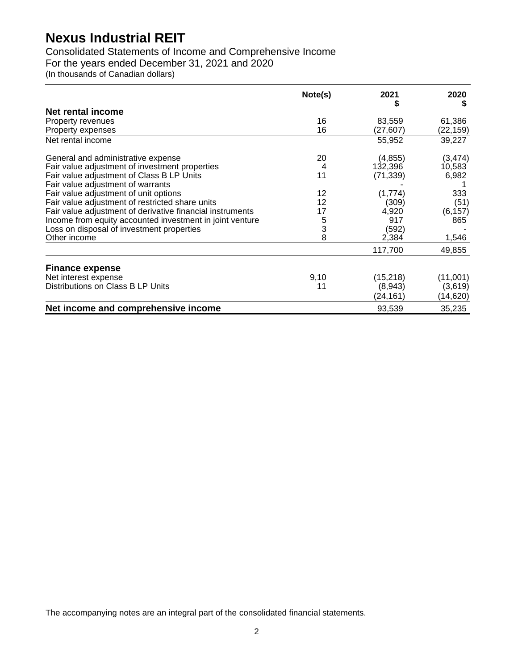Consolidated Statements of Income and Comprehensive Income For the years ended December 31, 2021 and 2020

(In thousands of Canadian dollars)

|                                                           | Note(s) | 2021      | 2020     |
|-----------------------------------------------------------|---------|-----------|----------|
| Net rental income                                         |         |           |          |
| Property revenues                                         | 16      | 83,559    | 61,386   |
| Property expenses                                         | 16      | (27,607)  | (22,159) |
| Net rental income                                         |         | 55,952    | 39,227   |
| General and administrative expense                        | 20      | (4, 855)  | (3, 474) |
| Fair value adjustment of investment properties            | 4       | 132,396   | 10,583   |
| Fair value adjustment of Class B LP Units                 | 11      | (71, 339) | 6,982    |
| Fair value adjustment of warrants                         |         |           |          |
| Fair value adjustment of unit options                     | 12      | (1,774)   | 333      |
| Fair value adjustment of restricted share units           | 12      | (309)     | (51)     |
| Fair value adjustment of derivative financial instruments | 17      | 4,920     | (6, 157) |
| Income from equity accounted investment in joint venture  | 5       | 917       | 865      |
| Loss on disposal of investment properties                 | 3       | (592)     |          |
| Other income                                              | 8       | 2,384     | 1,546    |
|                                                           |         | 117,700   | 49,855   |
| <b>Finance expense</b>                                    |         |           |          |
| Net interest expense                                      | 9,10    | (15, 218) | (11,001) |
| Distributions on Class B LP Units                         | 11      | (8,943)   | (3,619)  |
|                                                           |         | (24,161)  | (14,620) |
| Net income and comprehensive income                       |         | 93,539    | 35,235   |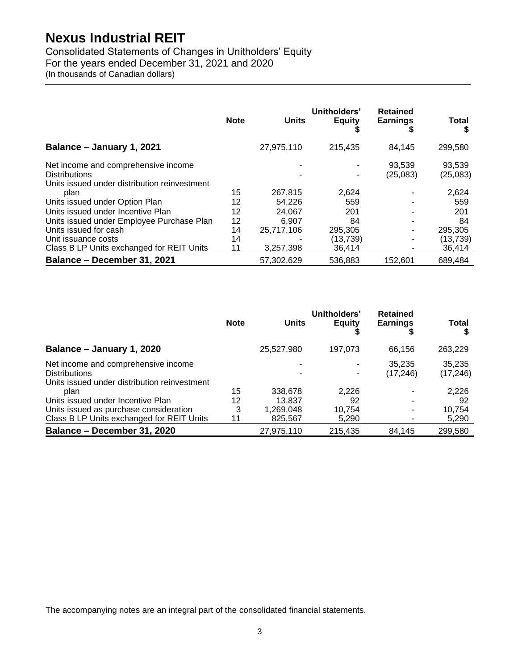Consolidated Statements of Changes in Unitholders' Equity For the years ended December 31, 2021 and 2020 (In thousands of Canadian dollars)

|                                                                                                             | <b>Note</b> | <b>Units</b> | Unitholders'<br><b>Equity</b> | <b>Retained</b><br><b>Earnings</b> | <b>Total</b>       |
|-------------------------------------------------------------------------------------------------------------|-------------|--------------|-------------------------------|------------------------------------|--------------------|
| Balance - January 1, 2021                                                                                   |             | 27,975,110   | 215,435                       | 84,145                             | 299,580            |
| Net income and comprehensive income<br><b>Distributions</b><br>Units issued under distribution reinvestment |             |              |                               | 93.539<br>(25,083)                 | 93,539<br>(25,083) |
| plan                                                                                                        | 15          | 267.815      | 2,624                         |                                    | 2,624              |
| Units issued under Option Plan                                                                              | 12          | 54.226       | 559                           |                                    | 559                |
| Units issued under Incentive Plan                                                                           | 12          | 24.067       | 201                           |                                    | 201                |
| Units issued under Employee Purchase Plan                                                                   | 12          | 6.907        | 84                            | ۰                                  | 84                 |
| Units issued for cash                                                                                       | 14          | 25.717.106   | 295,305                       |                                    | 295,305            |
| Unit issuance costs                                                                                         | 14          |              | (13, 739)                     |                                    | (13, 739)          |
| Class B LP Units exchanged for REIT Units                                                                   | 11          | 3,257,398    | 36,414                        |                                    | 36,414             |
| Balance - December 31, 2021                                                                                 |             | 57,302,629   | 536,883                       | 152.601                            | 689,484            |

|                                                                                                                          | <b>Note</b>   | <b>Units</b>                   | Unitholders'<br><b>Equity</b> | <b>Retained</b><br><b>Earnings</b> | Total                 |
|--------------------------------------------------------------------------------------------------------------------------|---------------|--------------------------------|-------------------------------|------------------------------------|-----------------------|
| Balance - January 1, 2020                                                                                                |               | 25,527,980                     | 197,073                       | 66,156                             | 263,229               |
| Net income and comprehensive income<br><b>Distributions</b><br>Units issued under distribution reinvestment              |               |                                | ۰<br>٠                        | 35.235<br>(17,246)                 | 35,235<br>(17, 246)   |
| plan                                                                                                                     | 15            | 338,678                        | 2.226                         |                                    | 2.226                 |
| Units issued under Incentive Plan<br>Units issued as purchase consideration<br>Class B LP Units exchanged for REIT Units | 12<br>3<br>11 | 13,837<br>1,269,048<br>825,567 | 92<br>10.754<br>5,290         |                                    | 92<br>10.754<br>5,290 |
| Balance - December 31, 2020                                                                                              |               | 27,975,110                     | 215,435                       | 84,145                             | 299,580               |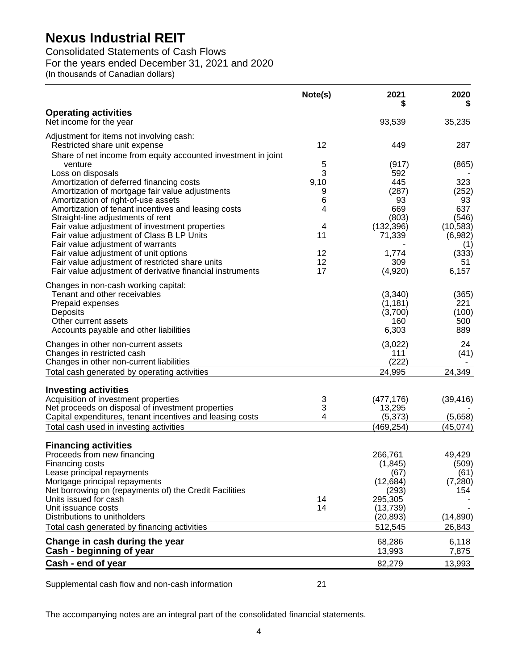## Consolidated Statements of Cash Flows

For the years ended December 31, 2021 and 2020

(In thousands of Canadian dollars)

|                                                                                             | Note(s)   | 2021                 | 2020<br>S            |
|---------------------------------------------------------------------------------------------|-----------|----------------------|----------------------|
| <b>Operating activities</b>                                                                 |           |                      |                      |
| Net income for the year                                                                     |           | 93,539               | 35,235               |
| Adjustment for items not involving cash:<br>Restricted share unit expense                   | 12        | 449                  | 287                  |
| Share of net income from equity accounted investment in joint                               |           |                      |                      |
| venture                                                                                     | 5         | (917)                | (865)                |
| Loss on disposals<br>Amortization of deferred financing costs                               | 3<br>9,10 | 592<br>445           | 323                  |
| Amortization of mortgage fair value adjustments                                             | 9         | (287)                | (252)                |
| Amortization of right-of-use assets                                                         | 6         | 93                   | 93                   |
| Amortization of tenant incentives and leasing costs                                         | 4         | 669                  | 637                  |
| Straight-line adjustments of rent                                                           |           | (803)                | (546)                |
| Fair value adjustment of investment properties<br>Fair value adjustment of Class B LP Units | 4<br>11   | (132, 396)<br>71,339 | (10, 583)<br>(6,982) |
| Fair value adjustment of warrants                                                           |           |                      | (1)                  |
| Fair value adjustment of unit options                                                       | 12        | 1,774                | (333)                |
| Fair value adjustment of restricted share units                                             | 12        | 309                  | 51                   |
| Fair value adjustment of derivative financial instruments                                   | 17        | (4,920)              | 6,157                |
| Changes in non-cash working capital:                                                        |           |                      |                      |
| Tenant and other receivables                                                                |           | (3,340)              | (365)                |
| Prepaid expenses<br>Deposits                                                                |           | (1, 181)<br>(3,700)  | 221<br>(100)         |
| Other current assets                                                                        |           | 160                  | 500                  |
| Accounts payable and other liabilities                                                      |           | 6,303                | 889                  |
| Changes in other non-current assets                                                         |           | (3,022)              | 24                   |
| Changes in restricted cash                                                                  |           | 111                  | (41)                 |
| Changes in other non-current liabilities                                                    |           | (222)                |                      |
| Total cash generated by operating activities                                                |           | 24,995               | 24,349               |
| <b>Investing activities</b>                                                                 |           |                      |                      |
| Acquisition of investment properties                                                        | 3         | (477, 176)           | (39, 416)            |
| Net proceeds on disposal of investment properties                                           | 3         | 13,295               |                      |
| Capital expenditures, tenant incentives and leasing costs                                   | 4         | (5, 373)             | (5,658)              |
| Total cash used in investing activities                                                     |           | (469,254)            | (45,074)             |
| <b>Financing activities</b>                                                                 |           |                      |                      |
| Proceeds from new financing                                                                 |           | 266,761              | 49,429               |
| Financing costs                                                                             |           | (1, 845)             | (509)                |
| Lease principal repayments<br>Mortgage principal repayments                                 |           | (67)<br>(12, 684)    | (61)<br>(7, 280)     |
| Net borrowing on (repayments of) the Credit Facilities                                      |           | (293)                | 154                  |
| Units issued for cash                                                                       | 14        | 295,305              |                      |
| Unit issuance costs                                                                         | 14        | (13, 739)            |                      |
| Distributions to unitholders                                                                |           | (20, 893)            | (14, 890)            |
| Total cash generated by financing activities                                                |           | 512,545              | 26,843               |
| Change in cash during the year                                                              |           | 68,286               | 6,118                |
| Cash - beginning of year                                                                    |           | 13,993               | 7,875                |
| Cash - end of year                                                                          |           | 82,279               | 13,993               |

Supplemental cash flow and non-cash information 21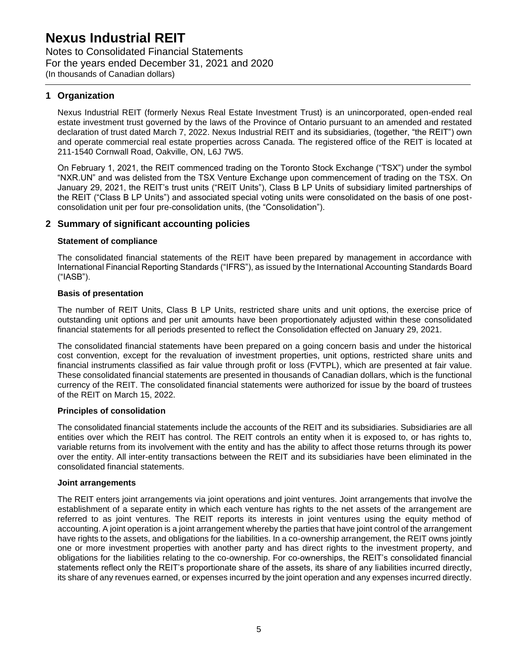Notes to Consolidated Financial Statements For the years ended December 31, 2021 and 2020 (In thousands of Canadian dollars)

### **1 Organization**

Nexus Industrial REIT (formerly Nexus Real Estate Investment Trust) is an unincorporated, open-ended real estate investment trust governed by the laws of the Province of Ontario pursuant to an amended and restated declaration of trust dated March 7, 2022. Nexus Industrial REIT and its subsidiaries, (together, "the REIT") own and operate commercial real estate properties across Canada. The registered office of the REIT is located at 211-1540 Cornwall Road, Oakville, ON, L6J 7W5.

On February 1, 2021, the REIT commenced trading on the Toronto Stock Exchange ("TSX") under the symbol "NXR.UN" and was delisted from the TSX Venture Exchange upon commencement of trading on the TSX. On January 29, 2021, the REIT's trust units ("REIT Units"), Class B LP Units of subsidiary limited partnerships of the REIT ("Class B LP Units") and associated special voting units were consolidated on the basis of one postconsolidation unit per four pre-consolidation units, (the "Consolidation").

### **2 Summary of significant accounting policies**

#### **Statement of compliance**

The consolidated financial statements of the REIT have been prepared by management in accordance with International Financial Reporting Standards ("IFRS"), as issued by the International Accounting Standards Board ("IASB").

#### **Basis of presentation**

The number of REIT Units, Class B LP Units, restricted share units and unit options, the exercise price of outstanding unit options and per unit amounts have been proportionately adjusted within these consolidated financial statements for all periods presented to reflect the Consolidation effected on January 29, 2021.

The consolidated financial statements have been prepared on a going concern basis and under the historical cost convention, except for the revaluation of investment properties, unit options, restricted share units and financial instruments classified as fair value through profit or loss (FVTPL), which are presented at fair value. These consolidated financial statements are presented in thousands of Canadian dollars, which is the functional currency of the REIT. The consolidated financial statements were authorized for issue by the board of trustees of the REIT on March 15, 2022.

#### **Principles of consolidation**

The consolidated financial statements include the accounts of the REIT and its subsidiaries. Subsidiaries are all entities over which the REIT has control. The REIT controls an entity when it is exposed to, or has rights to, variable returns from its involvement with the entity and has the ability to affect those returns through its power over the entity. All inter-entity transactions between the REIT and its subsidiaries have been eliminated in the consolidated financial statements.

#### **Joint arrangements**

The REIT enters joint arrangements via joint operations and joint ventures. Joint arrangements that involve the establishment of a separate entity in which each venture has rights to the net assets of the arrangement are referred to as joint ventures. The REIT reports its interests in joint ventures using the equity method of accounting. A joint operation is a joint arrangement whereby the parties that have joint control of the arrangement have rights to the assets, and obligations for the liabilities. In a co-ownership arrangement, the REIT owns jointly one or more investment properties with another party and has direct rights to the investment property, and obligations for the liabilities relating to the co-ownership. For co-ownerships, the REIT's consolidated financial statements reflect only the REIT's proportionate share of the assets, its share of any liabilities incurred directly, its share of any revenues earned, or expenses incurred by the joint operation and any expenses incurred directly.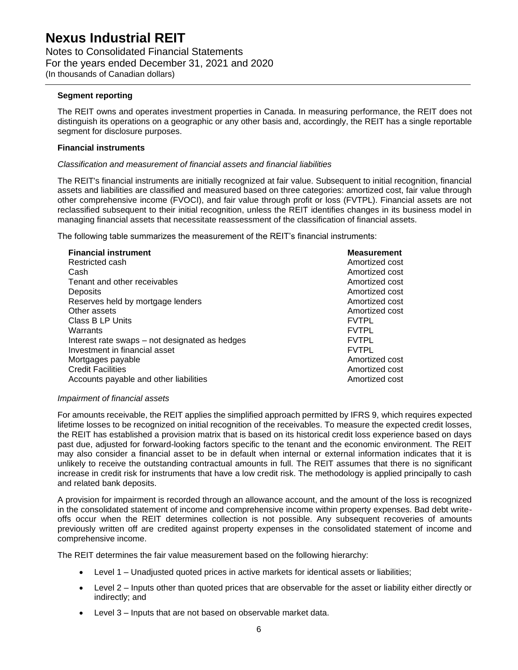Notes to Consolidated Financial Statements For the years ended December 31, 2021 and 2020 (In thousands of Canadian dollars)

#### **Segment reporting**

The REIT owns and operates investment properties in Canada. In measuring performance, the REIT does not distinguish its operations on a geographic or any other basis and, accordingly, the REIT has a single reportable segment for disclosure purposes.

#### **Financial instruments**

#### *Classification and measurement of financial assets and financial liabilities*

The REIT's financial instruments are initially recognized at fair value. Subsequent to initial recognition, financial assets and liabilities are classified and measured based on three categories: amortized cost, fair value through other comprehensive income (FVOCI), and fair value through profit or loss (FVTPL). Financial assets are not reclassified subsequent to their initial recognition, unless the REIT identifies changes in its business model in managing financial assets that necessitate reassessment of the classification of financial assets.

The following table summarizes the measurement of the REIT's financial instruments:

| <b>Financial instrument</b>                    | <b>Measurement</b> |
|------------------------------------------------|--------------------|
| Restricted cash                                | Amortized cost     |
| Cash                                           | Amortized cost     |
| Tenant and other receivables                   | Amortized cost     |
| Deposits                                       | Amortized cost     |
| Reserves held by mortgage lenders              | Amortized cost     |
| Other assets                                   | Amortized cost     |
| Class B LP Units                               | <b>FVTPL</b>       |
| Warrants                                       | <b>FVTPL</b>       |
| Interest rate swaps – not designated as hedges | <b>FVTPL</b>       |
| Investment in financial asset                  | <b>FVTPL</b>       |
| Mortgages payable                              | Amortized cost     |
| <b>Credit Facilities</b>                       | Amortized cost     |
| Accounts payable and other liabilities         | Amortized cost     |

#### *Impairment of financial assets*

For amounts receivable, the REIT applies the simplified approach permitted by IFRS 9, which requires expected lifetime losses to be recognized on initial recognition of the receivables. To measure the expected credit losses, the REIT has established a provision matrix that is based on its historical credit loss experience based on days past due, adjusted for forward-looking factors specific to the tenant and the economic environment. The REIT may also consider a financial asset to be in default when internal or external information indicates that it is unlikely to receive the outstanding contractual amounts in full. The REIT assumes that there is no significant increase in credit risk for instruments that have a low credit risk. The methodology is applied principally to cash and related bank deposits.

A provision for impairment is recorded through an allowance account, and the amount of the loss is recognized in the consolidated statement of income and comprehensive income within property expenses. Bad debt writeoffs occur when the REIT determines collection is not possible. Any subsequent recoveries of amounts previously written off are credited against property expenses in the consolidated statement of income and comprehensive income.

The REIT determines the fair value measurement based on the following hierarchy:

- Level 1 Unadjusted quoted prices in active markets for identical assets or liabilities;
- Level 2 Inputs other than quoted prices that are observable for the asset or liability either directly or indirectly; and
- Level 3 Inputs that are not based on observable market data.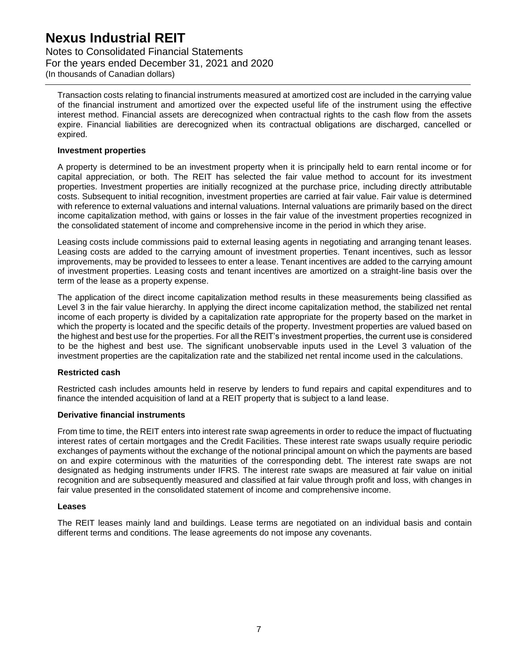Notes to Consolidated Financial Statements For the years ended December 31, 2021 and 2020 (In thousands of Canadian dollars)

Transaction costs relating to financial instruments measured at amortized cost are included in the carrying value of the financial instrument and amortized over the expected useful life of the instrument using the effective interest method. Financial assets are derecognized when contractual rights to the cash flow from the assets expire. Financial liabilities are derecognized when its contractual obligations are discharged, cancelled or expired.

#### **Investment properties**

A property is determined to be an investment property when it is principally held to earn rental income or for capital appreciation, or both. The REIT has selected the fair value method to account for its investment properties. Investment properties are initially recognized at the purchase price, including directly attributable costs. Subsequent to initial recognition, investment properties are carried at fair value. Fair value is determined with reference to external valuations and internal valuations. Internal valuations are primarily based on the direct income capitalization method, with gains or losses in the fair value of the investment properties recognized in the consolidated statement of income and comprehensive income in the period in which they arise.

Leasing costs include commissions paid to external leasing agents in negotiating and arranging tenant leases. Leasing costs are added to the carrying amount of investment properties. Tenant incentives, such as lessor improvements, may be provided to lessees to enter a lease. Tenant incentives are added to the carrying amount of investment properties. Leasing costs and tenant incentives are amortized on a straight-line basis over the term of the lease as a property expense.

The application of the direct income capitalization method results in these measurements being classified as Level 3 in the fair value hierarchy. In applying the direct income capitalization method, the stabilized net rental income of each property is divided by a capitalization rate appropriate for the property based on the market in which the property is located and the specific details of the property. Investment properties are valued based on the highest and best use for the properties. For all the REIT's investment properties, the current use is considered to be the highest and best use. The significant unobservable inputs used in the Level 3 valuation of the investment properties are the capitalization rate and the stabilized net rental income used in the calculations.

#### **Restricted cash**

Restricted cash includes amounts held in reserve by lenders to fund repairs and capital expenditures and to finance the intended acquisition of land at a REIT property that is subject to a land lease.

#### **Derivative financial instruments**

From time to time, the REIT enters into interest rate swap agreements in order to reduce the impact of fluctuating interest rates of certain mortgages and the Credit Facilities. These interest rate swaps usually require periodic exchanges of payments without the exchange of the notional principal amount on which the payments are based on and expire coterminous with the maturities of the corresponding debt. The interest rate swaps are not designated as hedging instruments under IFRS. The interest rate swaps are measured at fair value on initial recognition and are subsequently measured and classified at fair value through profit and loss, with changes in fair value presented in the consolidated statement of income and comprehensive income.

#### **Leases**

The REIT leases mainly land and buildings. Lease terms are negotiated on an individual basis and contain different terms and conditions. The lease agreements do not impose any covenants.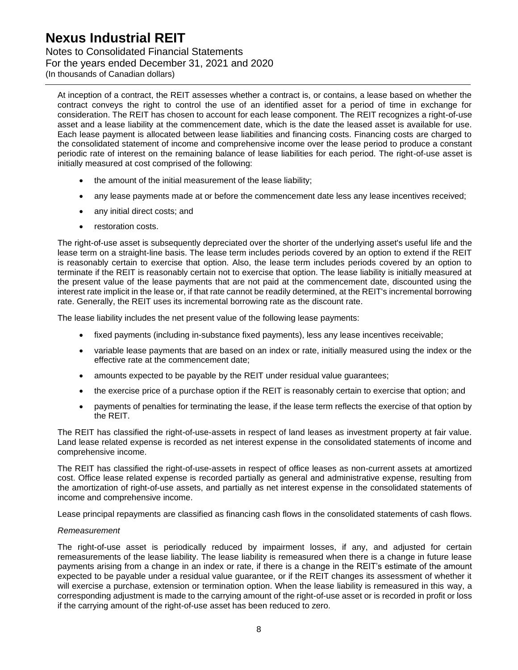Notes to Consolidated Financial Statements For the years ended December 31, 2021 and 2020 (In thousands of Canadian dollars)

At inception of a contract, the REIT assesses whether a contract is, or contains, a lease based on whether the contract conveys the right to control the use of an identified asset for a period of time in exchange for consideration. The REIT has chosen to account for each lease component. The REIT recognizes a right-of-use asset and a lease liability at the commencement date, which is the date the leased asset is available for use. Each lease payment is allocated between lease liabilities and financing costs. Financing costs are charged to the consolidated statement of income and comprehensive income over the lease period to produce a constant periodic rate of interest on the remaining balance of lease liabilities for each period. The right-of-use asset is initially measured at cost comprised of the following:

- the amount of the initial measurement of the lease liability;
- any lease payments made at or before the commencement date less any lease incentives received;
- any initial direct costs; and
- restoration costs.

The right-of-use asset is subsequently depreciated over the shorter of the underlying asset's useful life and the lease term on a straight-line basis. The lease term includes periods covered by an option to extend if the REIT is reasonably certain to exercise that option. Also, the lease term includes periods covered by an option to terminate if the REIT is reasonably certain not to exercise that option. The lease liability is initially measured at the present value of the lease payments that are not paid at the commencement date, discounted using the interest rate implicit in the lease or, if that rate cannot be readily determined, at the REIT's incremental borrowing rate. Generally, the REIT uses its incremental borrowing rate as the discount rate.

The lease liability includes the net present value of the following lease payments:

- fixed payments (including in-substance fixed payments), less any lease incentives receivable;
- variable lease payments that are based on an index or rate, initially measured using the index or the effective rate at the commencement date;
- amounts expected to be payable by the REIT under residual value guarantees;
- the exercise price of a purchase option if the REIT is reasonably certain to exercise that option; and
- payments of penalties for terminating the lease, if the lease term reflects the exercise of that option by the REIT.

The REIT has classified the right-of-use-assets in respect of land leases as investment property at fair value. Land lease related expense is recorded as net interest expense in the consolidated statements of income and comprehensive income.

The REIT has classified the right-of-use-assets in respect of office leases as non-current assets at amortized cost. Office lease related expense is recorded partially as general and administrative expense, resulting from the amortization of right-of-use assets, and partially as net interest expense in the consolidated statements of income and comprehensive income.

Lease principal repayments are classified as financing cash flows in the consolidated statements of cash flows.

#### *Remeasurement*

The right-of-use asset is periodically reduced by impairment losses, if any, and adjusted for certain remeasurements of the lease liability. The lease liability is remeasured when there is a change in future lease payments arising from a change in an index or rate, if there is a change in the REIT's estimate of the amount expected to be payable under a residual value guarantee, or if the REIT changes its assessment of whether it will exercise a purchase, extension or termination option. When the lease liability is remeasured in this way, a corresponding adjustment is made to the carrying amount of the right-of-use asset or is recorded in profit or loss if the carrying amount of the right-of-use asset has been reduced to zero.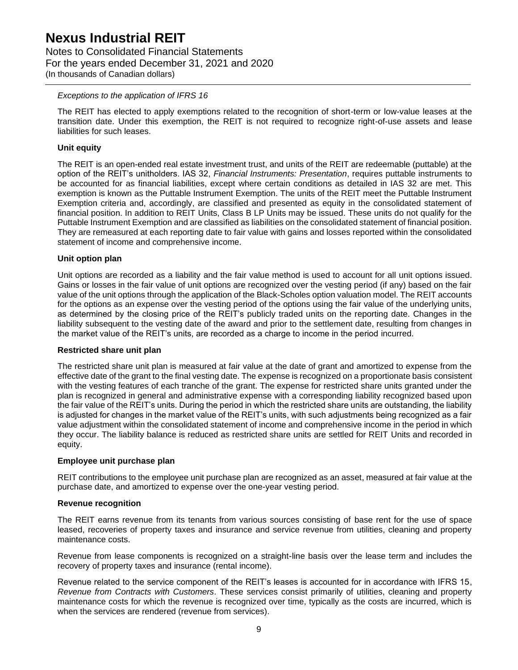Notes to Consolidated Financial Statements For the years ended December 31, 2021 and 2020 (In thousands of Canadian dollars)

#### *Exceptions to the application of IFRS 16*

The REIT has elected to apply exemptions related to the recognition of short-term or low-value leases at the transition date. Under this exemption, the REIT is not required to recognize right-of-use assets and lease liabilities for such leases.

### **Unit equity**

The REIT is an open-ended real estate investment trust, and units of the REIT are redeemable (puttable) at the option of the REIT's unitholders. IAS 32, *Financial Instruments: Presentation*, requires puttable instruments to be accounted for as financial liabilities, except where certain conditions as detailed in IAS 32 are met. This exemption is known as the Puttable Instrument Exemption. The units of the REIT meet the Puttable Instrument Exemption criteria and, accordingly, are classified and presented as equity in the consolidated statement of financial position. In addition to REIT Units, Class B LP Units may be issued. These units do not qualify for the Puttable Instrument Exemption and are classified as liabilities on the consolidated statement of financial position. They are remeasured at each reporting date to fair value with gains and losses reported within the consolidated statement of income and comprehensive income.

#### **Unit option plan**

Unit options are recorded as a liability and the fair value method is used to account for all unit options issued. Gains or losses in the fair value of unit options are recognized over the vesting period (if any) based on the fair value of the unit options through the application of the Black-Scholes option valuation model. The REIT accounts for the options as an expense over the vesting period of the options using the fair value of the underlying units, as determined by the closing price of the REIT's publicly traded units on the reporting date. Changes in the liability subsequent to the vesting date of the award and prior to the settlement date, resulting from changes in the market value of the REIT's units, are recorded as a charge to income in the period incurred.

#### **Restricted share unit plan**

The restricted share unit plan is measured at fair value at the date of grant and amortized to expense from the effective date of the grant to the final vesting date. The expense is recognized on a proportionate basis consistent with the vesting features of each tranche of the grant. The expense for restricted share units granted under the plan is recognized in general and administrative expense with a corresponding liability recognized based upon the fair value of the REIT's units. During the period in which the restricted share units are outstanding, the liability is adjusted for changes in the market value of the REIT's units, with such adjustments being recognized as a fair value adjustment within the consolidated statement of income and comprehensive income in the period in which they occur. The liability balance is reduced as restricted share units are settled for REIT Units and recorded in equity.

#### **Employee unit purchase plan**

REIT contributions to the employee unit purchase plan are recognized as an asset, measured at fair value at the purchase date, and amortized to expense over the one-year vesting period.

#### **Revenue recognition**

The REIT earns revenue from its tenants from various sources consisting of base rent for the use of space leased, recoveries of property taxes and insurance and service revenue from utilities, cleaning and property maintenance costs.

Revenue from lease components is recognized on a straight-line basis over the lease term and includes the recovery of property taxes and insurance (rental income).

Revenue related to the service component of the REIT's leases is accounted for in accordance with IFRS 15, *Revenue from Contracts with Customers*. These services consist primarily of utilities, cleaning and property maintenance costs for which the revenue is recognized over time, typically as the costs are incurred, which is when the services are rendered (revenue from services).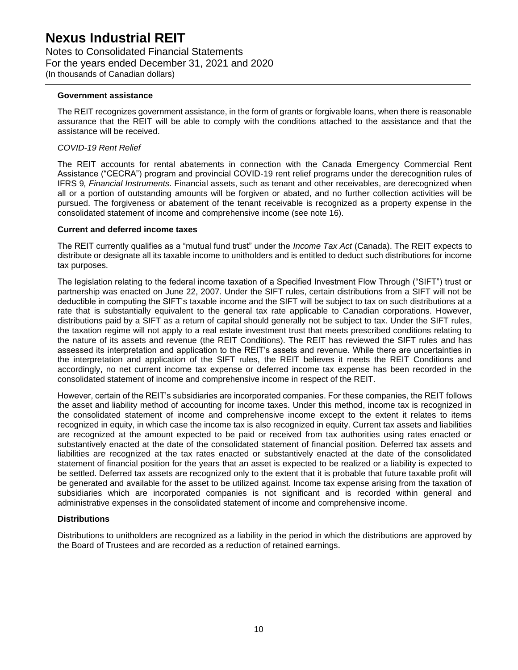Notes to Consolidated Financial Statements For the years ended December 31, 2021 and 2020 (In thousands of Canadian dollars)

#### **Government assistance**

The REIT recognizes government assistance, in the form of grants or forgivable loans, when there is reasonable assurance that the REIT will be able to comply with the conditions attached to the assistance and that the assistance will be received.

#### *COVID-19 Rent Relief*

The REIT accounts for rental abatements in connection with the Canada Emergency Commercial Rent Assistance ("CECRA") program and provincial COVID-19 rent relief programs under the derecognition rules of IFRS 9*, Financial Instruments*. Financial assets, such as tenant and other receivables, are derecognized when all or a portion of outstanding amounts will be forgiven or abated, and no further collection activities will be pursued. The forgiveness or abatement of the tenant receivable is recognized as a property expense in the consolidated statement of income and comprehensive income (see note 16).

#### **Current and deferred income taxes**

The REIT currently qualifies as a "mutual fund trust" under the *Income Tax Act* (Canada). The REIT expects to distribute or designate all its taxable income to unitholders and is entitled to deduct such distributions for income tax purposes.

The legislation relating to the federal income taxation of a Specified Investment Flow Through ("SIFT") trust or partnership was enacted on June 22, 2007. Under the SIFT rules, certain distributions from a SIFT will not be deductible in computing the SIFT's taxable income and the SIFT will be subject to tax on such distributions at a rate that is substantially equivalent to the general tax rate applicable to Canadian corporations. However, distributions paid by a SIFT as a return of capital should generally not be subject to tax. Under the SIFT rules, the taxation regime will not apply to a real estate investment trust that meets prescribed conditions relating to the nature of its assets and revenue (the REIT Conditions). The REIT has reviewed the SIFT rules and has assessed its interpretation and application to the REIT's assets and revenue. While there are uncertainties in the interpretation and application of the SIFT rules, the REIT believes it meets the REIT Conditions and accordingly, no net current income tax expense or deferred income tax expense has been recorded in the consolidated statement of income and comprehensive income in respect of the REIT.

However, certain of the REIT's subsidiaries are incorporated companies. For these companies, the REIT follows the asset and liability method of accounting for income taxes. Under this method, income tax is recognized in the consolidated statement of income and comprehensive income except to the extent it relates to items recognized in equity, in which case the income tax is also recognized in equity. Current tax assets and liabilities are recognized at the amount expected to be paid or received from tax authorities using rates enacted or substantively enacted at the date of the consolidated statement of financial position. Deferred tax assets and liabilities are recognized at the tax rates enacted or substantively enacted at the date of the consolidated statement of financial position for the years that an asset is expected to be realized or a liability is expected to be settled. Deferred tax assets are recognized only to the extent that it is probable that future taxable profit will be generated and available for the asset to be utilized against. Income tax expense arising from the taxation of subsidiaries which are incorporated companies is not significant and is recorded within general and administrative expenses in the consolidated statement of income and comprehensive income.

#### **Distributions**

Distributions to unitholders are recognized as a liability in the period in which the distributions are approved by the Board of Trustees and are recorded as a reduction of retained earnings.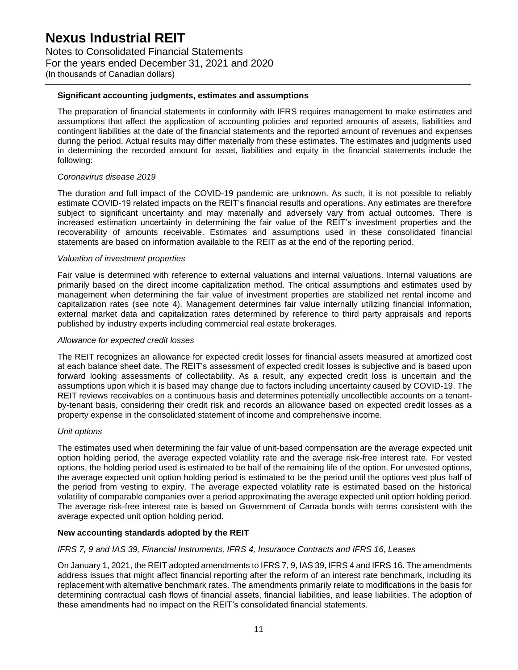Notes to Consolidated Financial Statements For the years ended December 31, 2021 and 2020 (In thousands of Canadian dollars)

#### **Significant accounting judgments, estimates and assumptions**

The preparation of financial statements in conformity with IFRS requires management to make estimates and assumptions that affect the application of accounting policies and reported amounts of assets, liabilities and contingent liabilities at the date of the financial statements and the reported amount of revenues and expenses during the period. Actual results may differ materially from these estimates. The estimates and judgments used in determining the recorded amount for asset, liabilities and equity in the financial statements include the following:

#### *Coronavirus disease 2019*

The duration and full impact of the COVID-19 pandemic are unknown. As such, it is not possible to reliably estimate COVID-19 related impacts on the REIT's financial results and operations. Any estimates are therefore subject to significant uncertainty and may materially and adversely vary from actual outcomes. There is increased estimation uncertainty in determining the fair value of the REIT's investment properties and the recoverability of amounts receivable. Estimates and assumptions used in these consolidated financial statements are based on information available to the REIT as at the end of the reporting period.

#### *Valuation of investment properties*

Fair value is determined with reference to external valuations and internal valuations. Internal valuations are primarily based on the direct income capitalization method. The critical assumptions and estimates used by management when determining the fair value of investment properties are stabilized net rental income and capitalization rates (see note 4). Management determines fair value internally utilizing financial information, external market data and capitalization rates determined by reference to third party appraisals and reports published by industry experts including commercial real estate brokerages.

#### *Allowance for expected credit losses*

The REIT recognizes an allowance for expected credit losses for financial assets measured at amortized cost at each balance sheet date. The REIT's assessment of expected credit losses is subjective and is based upon forward looking assessments of collectability. As a result, any expected credit loss is uncertain and the assumptions upon which it is based may change due to factors including uncertainty caused by COVID-19. The REIT reviews receivables on a continuous basis and determines potentially uncollectible accounts on a tenantby-tenant basis, considering their credit risk and records an allowance based on expected credit losses as a property expense in the consolidated statement of income and comprehensive income.

#### *Unit options*

The estimates used when determining the fair value of unit-based compensation are the average expected unit option holding period, the average expected volatility rate and the average risk-free interest rate. For vested options, the holding period used is estimated to be half of the remaining life of the option. For unvested options, the average expected unit option holding period is estimated to be the period until the options vest plus half of the period from vesting to expiry. The average expected volatility rate is estimated based on the historical volatility of comparable companies over a period approximating the average expected unit option holding period. The average risk-free interest rate is based on Government of Canada bonds with terms consistent with the average expected unit option holding period.

### **New accounting standards adopted by the REIT**

#### *IFRS 7, 9 and IAS 39, Financial Instruments, IFRS 4, Insurance Contracts and IFRS 16, Leases*

On January 1, 2021, the REIT adopted amendments to IFRS 7, 9, IAS 39, IFRS 4 and IFRS 16. The amendments address issues that might affect financial reporting after the reform of an interest rate benchmark, including its replacement with alternative benchmark rates. The amendments primarily relate to modifications in the basis for determining contractual cash flows of financial assets, financial liabilities, and lease liabilities. The adoption of these amendments had no impact on the REIT's consolidated financial statements.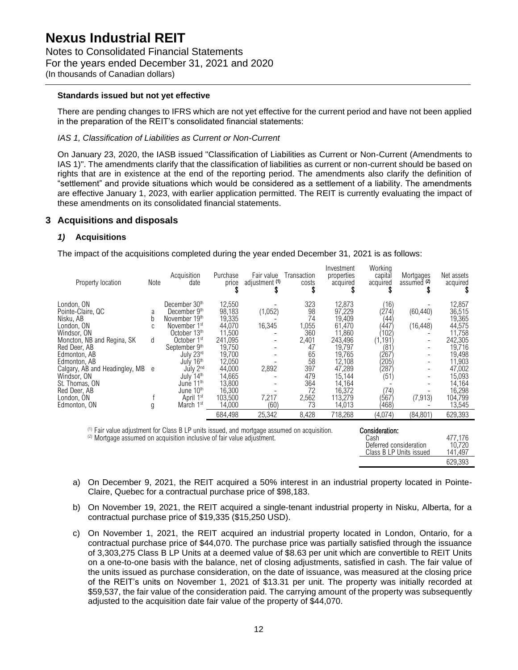Notes to Consolidated Financial Statements For the years ended December 31, 2021 and 2020 (In thousands of Canadian dollars)

#### **Standards issued but not yet effective**

There are pending changes to IFRS which are not yet effective for the current period and have not been applied in the preparation of the REIT's consolidated financial statements:

#### *IAS 1, Classification of Liabilities as Current or Non-Current*

On January 23, 2020, the IASB issued "Classification of Liabilities as Current or Non-Current (Amendments to IAS 1)". The amendments clarify that the classification of liabilities as current or non-current should be based on rights that are in existence at the end of the reporting period. The amendments also clarify the definition of "settlement" and provide situations which would be considered as a settlement of a liability. The amendments are effective January 1, 2023, with earlier application permitted. The REIT is currently evaluating the impact of these amendments on its consolidated financial statements.

### **3 Acquisitions and disposals**

#### *1)* **Acquisitions**

The impact of the acquisitions completed during the year ended December 31, 2021 is as follows:

| 323<br>12,550<br>12,873<br>12,857<br>December 30th<br>16'<br>97,229<br>December 9th<br>98.183<br>(1,052)<br>98<br>274<br>(60, 440)<br>36,515<br>a<br>19,335<br>74<br>19,365<br>November 19th<br>19,409<br>(44<br>16,345<br>1,055<br>(16, 448)<br>44,070<br>447<br>61,470<br>44,575<br>November 1st<br>360<br>11.500<br>11.860<br>102<br>October 13th<br>11.758<br>2,401<br>241,095<br>243,496<br>(1, 191)<br>242,305<br>October 1 <sup>st</sup><br>d<br>September 9th<br>19,750<br>19.797<br>19.716<br>47<br>181<br>65<br>267<br>July 23rd<br>19.700<br>19.765<br>19,498<br>58<br>205<br>July 16th<br>12,050<br>12.108<br>11,903<br>'287'<br>397<br>44,000<br>2,892<br>47,289<br>Calgary, AB and Headingley, MB<br>July 2 <sup>nd</sup><br>47,002<br>е,<br>479<br>July 14th<br>14,665<br>15,144<br>(51)<br>15,093<br>364<br>June 11 <sup>th</sup><br>13.800<br>14.164<br>14.164<br>72<br>June 10 <sup>th</sup><br>16,300<br>16.372<br>(74)<br>16,298<br>7,217<br>2,562<br>103,500<br>113,279<br>(567<br>(7, 913)<br>April 1 <sup>st</sup><br>104,799<br>73<br>(468)<br>14,013<br>13,545<br>Edmonton, ON<br>March 1 <sup>st</sup><br>14,000<br>(60)<br>25,342<br>8,428<br>718,268<br>629,393<br>684,498<br>(4,074)<br>(84, 801) | Property location                                                                                                                                                                                                      | Note | Acquisition<br>date | Purchase<br>price | Fair value<br>adjustment <sup>(1)</sup> | Transaction<br>costs | Investment<br>properties<br>acquired | Working<br>capital<br>acquired | Mortgages<br>assumed <sup>(2)</sup> | Net assets<br>acquired |
|--------------------------------------------------------------------------------------------------------------------------------------------------------------------------------------------------------------------------------------------------------------------------------------------------------------------------------------------------------------------------------------------------------------------------------------------------------------------------------------------------------------------------------------------------------------------------------------------------------------------------------------------------------------------------------------------------------------------------------------------------------------------------------------------------------------------------------------------------------------------------------------------------------------------------------------------------------------------------------------------------------------------------------------------------------------------------------------------------------------------------------------------------------------------------------------------------------------------------------|------------------------------------------------------------------------------------------------------------------------------------------------------------------------------------------------------------------------|------|---------------------|-------------------|-----------------------------------------|----------------------|--------------------------------------|--------------------------------|-------------------------------------|------------------------|
|                                                                                                                                                                                                                                                                                                                                                                                                                                                                                                                                                                                                                                                                                                                                                                                                                                                                                                                                                                                                                                                                                                                                                                                                                                | London. ON<br>Pointe-Claire, QC<br>Nisku. AB<br>London, ON<br>Windsor, ON<br>Moncton, NB and Regina, SK<br>Red Deer, AB<br>Edmonton, AB<br>Edmonton, AB<br>Windsor, ON<br>St. Thomas. ON<br>Red Deer, AB<br>London, ON |      |                     |                   |                                         |                      |                                      |                                |                                     |                        |
|                                                                                                                                                                                                                                                                                                                                                                                                                                                                                                                                                                                                                                                                                                                                                                                                                                                                                                                                                                                                                                                                                                                                                                                                                                |                                                                                                                                                                                                                        |      |                     |                   |                                         |                      |                                      |                                |                                     |                        |

 $(1)$  Fair value adjustment for Class B LP units issued, and mortgage assumed on acquisition. (2) Mortgage assumed on acquisition inclusive of fair value adjustment.

| Consideration:          |         |
|-------------------------|---------|
| Cash                    | 477,176 |
| Deferred consideration  | 10.720  |
| Class B LP Units issued | 141.497 |
|                         | 629.393 |

- a) On December 9, 2021, the REIT acquired a 50% interest in an industrial property located in Pointe-Claire, Quebec for a contractual purchase price of \$98,183.
- b) On November 19, 2021, the REIT acquired a single-tenant industrial property in Nisku, Alberta, for a contractual purchase price of \$19,335 (\$15,250 USD).
- c) On November 1, 2021, the REIT acquired an industrial property located in London, Ontario, for a contractual purchase price of \$44,070. The purchase price was partially satisfied through the issuance of 3,303,275 Class B LP Units at a deemed value of \$8.63 per unit which are convertible to REIT Units on a one-to-one basis with the balance, net of closing adjustments, satisfied in cash. The fair value of the units issued as purchase consideration, on the date of issuance, was measured at the closing price of the REIT's units on November 1, 2021 of \$13.31 per unit. The property was initially recorded at \$59,537, the fair value of the consideration paid. The carrying amount of the property was subsequently adjusted to the acquisition date fair value of the property of \$44,070.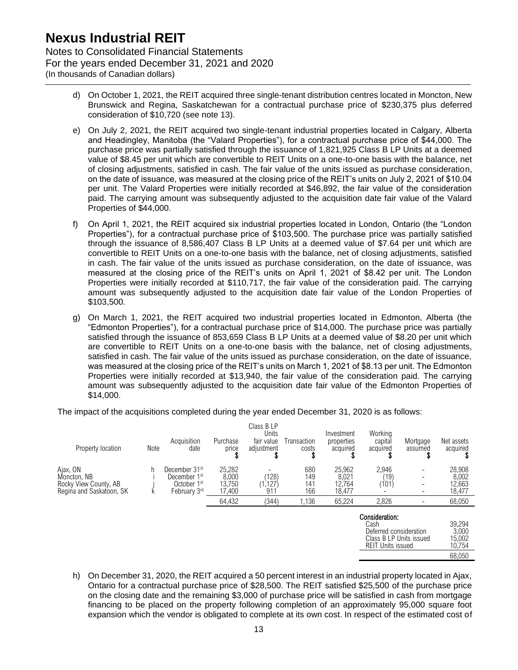Notes to Consolidated Financial Statements For the years ended December 31, 2021 and 2020 (In thousands of Canadian dollars)

- d) On October 1, 2021, the REIT acquired three single-tenant distribution centres located in Moncton, New Brunswick and Regina, Saskatchewan for a contractual purchase price of \$230,375 plus deferred consideration of \$10,720 (see note 13).
- e) On July 2, 2021, the REIT acquired two single-tenant industrial properties located in Calgary, Alberta and Headingley, Manitoba (the "Valard Properties"), for a contractual purchase price of \$44,000. The purchase price was partially satisfied through the issuance of 1,821,925 Class B LP Units at a deemed value of \$8.45 per unit which are convertible to REIT Units on a one-to-one basis with the balance, net of closing adjustments, satisfied in cash. The fair value of the units issued as purchase consideration, on the date of issuance, was measured at the closing price of the REIT's units on July 2, 2021 of \$10.04 per unit. The Valard Properties were initially recorded at \$46,892, the fair value of the consideration paid. The carrying amount was subsequently adjusted to the acquisition date fair value of the Valard Properties of \$44,000.
- f) On April 1, 2021, the REIT acquired six industrial properties located in London, Ontario (the "London Properties"), for a contractual purchase price of \$103,500. The purchase price was partially satisfied through the issuance of 8,586,407 Class B LP Units at a deemed value of \$7.64 per unit which are convertible to REIT Units on a one-to-one basis with the balance, net of closing adjustments, satisfied in cash. The fair value of the units issued as purchase consideration, on the date of issuance, was measured at the closing price of the REIT's units on April 1, 2021 of \$8.42 per unit. The London Properties were initially recorded at \$110,717, the fair value of the consideration paid. The carrying amount was subsequently adjusted to the acquisition date fair value of the London Properties of \$103,500.
- g) On March 1, 2021, the REIT acquired two industrial properties located in Edmonton, Alberta (the "Edmonton Properties"), for a contractual purchase price of \$14,000. The purchase price was partially satisfied through the issuance of 853,659 Class B LP Units at a deemed value of \$8.20 per unit which are convertible to REIT Units on a one-to-one basis with the balance, net of closing adjustments, satisfied in cash. The fair value of the units issued as purchase consideration, on the date of issuance, was measured at the closing price of the REIT's units on March 1, 2021 of \$8.13 per unit. The Edmonton Properties were initially recorded at \$13,940, the fair value of the consideration paid. The carrying amount was subsequently adjusted to the acquisition date fair value of the Edmonton Properties of \$14,000.

The impact of the acquisitions completed during the year ended December 31, 2020 is as follows:

| Property location                                                            | Note | Acquisition<br>date                                                                              | Purchase<br>price                   | Class B LP<br>Units<br>fair value<br>adjustment<br>Φ | Transaction<br>costs     | Investment<br>properties<br>acquired | Working<br>capital<br>acquired                                                                          | Mortgage<br>assumed | Net assets<br>acquired                        |
|------------------------------------------------------------------------------|------|--------------------------------------------------------------------------------------------------|-------------------------------------|------------------------------------------------------|--------------------------|--------------------------------------|---------------------------------------------------------------------------------------------------------|---------------------|-----------------------------------------------|
| Ajax, ON<br>Moncton. NB<br>Rocky View County, AB<br>Regina and Saskatoon, SK | h    | December 31 <sup>st</sup><br>December 1 <sup>st</sup><br>October 1 <sup>st</sup><br>February 3rd | 25,282<br>8,000<br>13,750<br>17,400 | $(1, 128)$<br>(1,127)<br>911                         | 680<br>149<br>141<br>166 | 25,962<br>8.021<br>12,764<br>18.477  | 2,946<br>19'<br>(101'                                                                                   |                     | 28,908<br>8.002<br>12,663<br>18,477           |
|                                                                              |      |                                                                                                  | 64,432                              | (344)                                                | 1,136                    | 65,224                               | 2,826                                                                                                   |                     | 68,050                                        |
|                                                                              |      |                                                                                                  |                                     |                                                      |                          |                                      | Consideration:<br>Cash<br>Deferred consideration<br>Class B LP Units issued<br><b>REIT Units issued</b> |                     | 39,294<br>3,000<br>15,002<br>10,754<br>68,050 |

h) On December 31, 2020, the REIT acquired a 50 percent interest in an industrial property located in Ajax, Ontario for a contractual purchase price of \$28,500. The REIT satisfied \$25,500 of the purchase price on the closing date and the remaining \$3,000 of purchase price will be satisfied in cash from mortgage financing to be placed on the property following completion of an approximately 95,000 square foot expansion which the vendor is obligated to complete at its own cost. In respect of the estimated cost of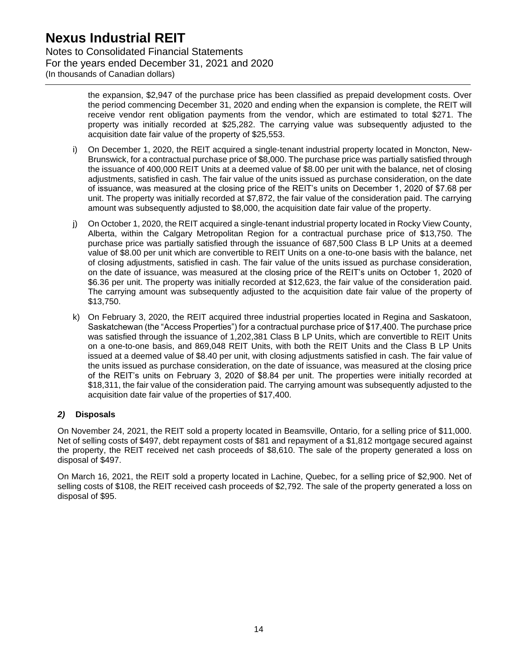Notes to Consolidated Financial Statements For the years ended December 31, 2021 and 2020 (In thousands of Canadian dollars)

> the expansion, \$2,947 of the purchase price has been classified as prepaid development costs. Over the period commencing December 31, 2020 and ending when the expansion is complete, the REIT will receive vendor rent obligation payments from the vendor, which are estimated to total \$271. The property was initially recorded at \$25,282. The carrying value was subsequently adjusted to the acquisition date fair value of the property of \$25,553.

- i) On December 1, 2020, the REIT acquired a single-tenant industrial property located in Moncton, New-Brunswick, for a contractual purchase price of \$8,000. The purchase price was partially satisfied through the issuance of 400,000 REIT Units at a deemed value of \$8.00 per unit with the balance, net of closing adjustments, satisfied in cash. The fair value of the units issued as purchase consideration, on the date of issuance, was measured at the closing price of the REIT's units on December 1, 2020 of \$7.68 per unit. The property was initially recorded at \$7,872, the fair value of the consideration paid. The carrying amount was subsequently adjusted to \$8,000, the acquisition date fair value of the property.
- j) On October 1, 2020, the REIT acquired a single-tenant industrial property located in Rocky View County, Alberta, within the Calgary Metropolitan Region for a contractual purchase price of \$13,750. The purchase price was partially satisfied through the issuance of 687,500 Class B LP Units at a deemed value of \$8.00 per unit which are convertible to REIT Units on a one-to-one basis with the balance, net of closing adjustments, satisfied in cash. The fair value of the units issued as purchase consideration, on the date of issuance, was measured at the closing price of the REIT's units on October 1, 2020 of \$6.36 per unit. The property was initially recorded at \$12,623, the fair value of the consideration paid. The carrying amount was subsequently adjusted to the acquisition date fair value of the property of \$13,750.
- k) On February 3, 2020, the REIT acquired three industrial properties located in Regina and Saskatoon, Saskatchewan (the "Access Properties") for a contractual purchase price of \$17,400. The purchase price was satisfied through the issuance of 1,202,381 Class B LP Units, which are convertible to REIT Units on a one-to-one basis, and 869,048 REIT Units, with both the REIT Units and the Class B LP Units issued at a deemed value of \$8.40 per unit, with closing adjustments satisfied in cash. The fair value of the units issued as purchase consideration, on the date of issuance, was measured at the closing price of the REIT's units on February 3, 2020 of \$8.84 per unit. The properties were initially recorded at \$18,311, the fair value of the consideration paid. The carrying amount was subsequently adjusted to the acquisition date fair value of the properties of \$17,400.

### *2)* **Disposals**

On November 24, 2021, the REIT sold a property located in Beamsville, Ontario, for a selling price of \$11,000. Net of selling costs of \$497, debt repayment costs of \$81 and repayment of a \$1,812 mortgage secured against the property, the REIT received net cash proceeds of \$8,610. The sale of the property generated a loss on disposal of \$497.

On March 16, 2021, the REIT sold a property located in Lachine, Quebec, for a selling price of \$2,900. Net of selling costs of \$108, the REIT received cash proceeds of \$2,792. The sale of the property generated a loss on disposal of \$95.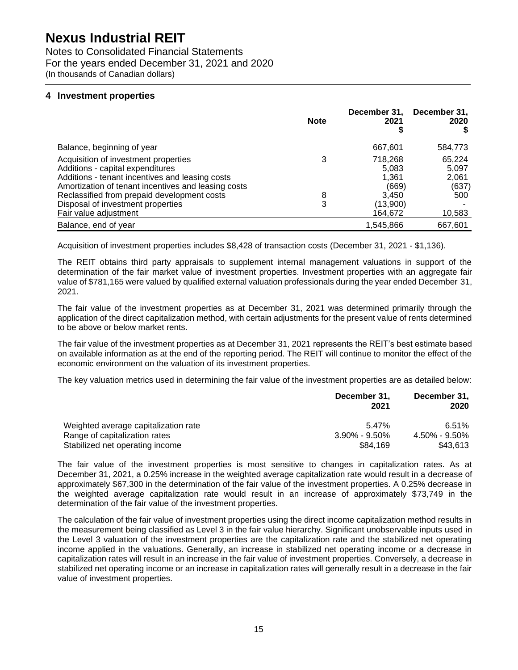Notes to Consolidated Financial Statements For the years ended December 31, 2021 and 2020 (In thousands of Canadian dollars)

### **4 Investment properties**

|                                                                                                                                                                                    | <b>Note</b> | December 31,<br>2021<br>\$         | December 31,<br>2020              |
|------------------------------------------------------------------------------------------------------------------------------------------------------------------------------------|-------------|------------------------------------|-----------------------------------|
| Balance, beginning of year                                                                                                                                                         |             | 667,601                            | 584,773                           |
| Acquisition of investment properties<br>Additions - capital expenditures<br>Additions - tenant incentives and leasing costs<br>Amortization of tenant incentives and leasing costs | 3           | 718.268<br>5,083<br>1,361<br>(669) | 65,224<br>5,097<br>2,061<br>(637) |
| Reclassified from prepaid development costs                                                                                                                                        | 8           | 3.450                              | 500                               |
| Disposal of investment properties<br>Fair value adjustment                                                                                                                         | 3           | (13,900)<br>164,672                | 10,583                            |
| Balance, end of year                                                                                                                                                               |             | 1,545,866                          | 667,601                           |

Acquisition of investment properties includes \$8,428 of transaction costs (December 31, 2021 - \$1,136).

The REIT obtains third party appraisals to supplement internal management valuations in support of the determination of the fair market value of investment properties. Investment properties with an aggregate fair value of \$781,165 were valued by qualified external valuation professionals during the year ended December 31, 2021.

The fair value of the investment properties as at December 31, 2021 was determined primarily through the application of the direct capitalization method, with certain adjustments for the present value of rents determined to be above or below market rents.

The fair value of the investment properties as at December 31, 2021 represents the REIT's best estimate based on available information as at the end of the reporting period. The REIT will continue to monitor the effect of the economic environment on the valuation of its investment properties.

The key valuation metrics used in determining the fair value of the investment properties are as detailed below:

|                                      | December 31,<br>2021 | December 31,<br>2020 |  |
|--------------------------------------|----------------------|----------------------|--|
| Weighted average capitalization rate | 5.47%                | $6.51\%$             |  |
| Range of capitalization rates        | $3.90\%$ - 9.50%     | 4.50% - 9.50%        |  |
| Stabilized net operating income      | \$84.169             | \$43.613             |  |

The fair value of the investment properties is most sensitive to changes in capitalization rates. As at December 31, 2021, a 0.25% increase in the weighted average capitalization rate would result in a decrease of approximately \$67,300 in the determination of the fair value of the investment properties. A 0.25% decrease in the weighted average capitalization rate would result in an increase of approximately \$73,749 in the determination of the fair value of the investment properties.

The calculation of the fair value of investment properties using the direct income capitalization method results in the measurement being classified as Level 3 in the fair value hierarchy. Significant unobservable inputs used in the Level 3 valuation of the investment properties are the capitalization rate and the stabilized net operating income applied in the valuations. Generally, an increase in stabilized net operating income or a decrease in capitalization rates will result in an increase in the fair value of investment properties. Conversely, a decrease in stabilized net operating income or an increase in capitalization rates will generally result in a decrease in the fair value of investment properties.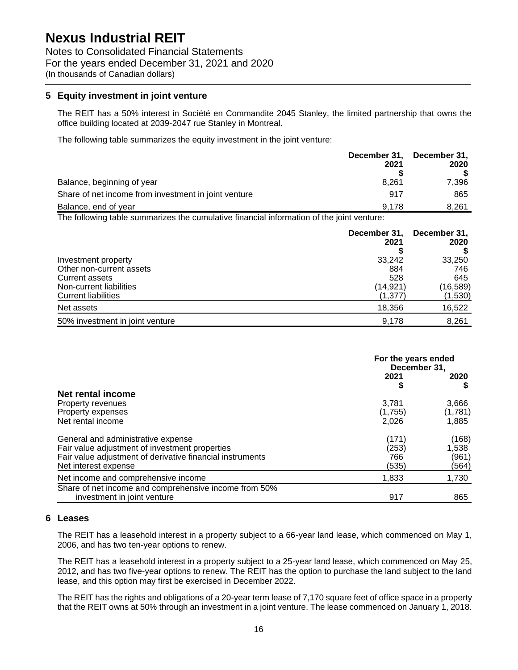Notes to Consolidated Financial Statements For the years ended December 31, 2021 and 2020 (In thousands of Canadian dollars)

### **5 Equity investment in joint venture**

The REIT has a 50% interest in Société en Commandite 2045 Stanley, the limited partnership that owns the office building located at 2039-2047 rue Stanley in Montreal.

The following table summarizes the equity investment in the joint venture:

|                                                      | December 31,<br>2021 | <b>December 31,</b><br>2020 |
|------------------------------------------------------|----------------------|-----------------------------|
| Balance, beginning of year                           | 8.261                | 7.396                       |
| Share of net income from investment in joint venture | 917                  | 865                         |
| Balance, end of year                                 | 9.178                | 8.261                       |

The following table summarizes the cumulative financial information of the joint venture:

|                                 | December 31,<br>2021 | December 31,<br>2020 |
|---------------------------------|----------------------|----------------------|
| Investment property             | 33,242               | 33,250               |
| Other non-current assets        | 884                  | 746                  |
| Current assets                  | 528                  | 645                  |
| Non-current liabilities         | (14, 921)            | (16, 589)            |
| <b>Current liabilities</b>      | (1,377)              | (1,530)              |
| Net assets                      | 18,356               | 16,522               |
| 50% investment in joint venture | 9,178                | 8,261                |

|                                                           | For the years ended<br>December 31, |         |
|-----------------------------------------------------------|-------------------------------------|---------|
|                                                           | 2021                                | 2020    |
| Net rental income                                         |                                     |         |
| Property revenues                                         | 3.781                               | 3,666   |
| Property expenses                                         | (1,755)                             | (1,781) |
| Net rental income                                         | 2,026                               | 1,885   |
| General and administrative expense                        | (171)                               | (168)   |
| Fair value adjustment of investment properties            | (253)                               | 1,538   |
| Fair value adjustment of derivative financial instruments | 766                                 | (961)   |
| Net interest expense                                      | (535)                               | (564)   |
| Net income and comprehensive income                       | 1,833                               | 1,730   |
| Share of net income and comprehensive income from 50%     |                                     |         |
| investment in joint venture                               | 917                                 | 865     |

### **6 Leases**

The REIT has a leasehold interest in a property subject to a 66-year land lease, which commenced on May 1, 2006, and has two ten-year options to renew.

The REIT has a leasehold interest in a property subject to a 25-year land lease, which commenced on May 25, 2012, and has two five-year options to renew. The REIT has the option to purchase the land subject to the land lease, and this option may first be exercised in December 2022.

The REIT has the rights and obligations of a 20-year term lease of 7,170 square feet of office space in a property that the REIT owns at 50% through an investment in a joint venture. The lease commenced on January 1, 2018.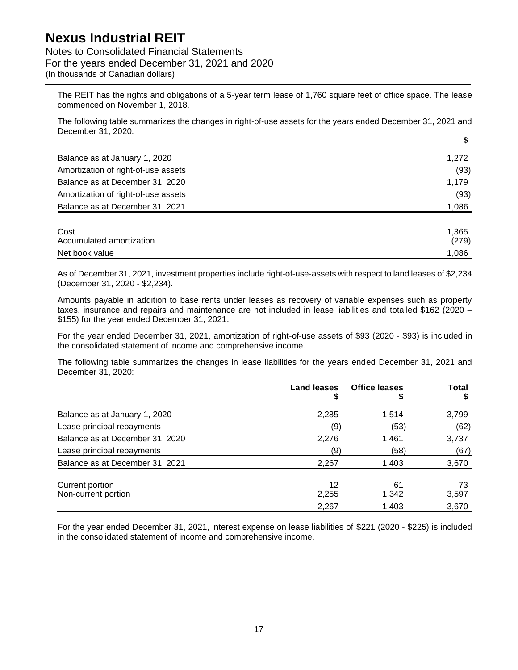Notes to Consolidated Financial Statements For the years ended December 31, 2021 and 2020 (In thousands of Canadian dollars)

The REIT has the rights and obligations of a 5-year term lease of 1,760 square feet of office space. The lease commenced on November 1, 2018.

The following table summarizes the changes in right-of-use assets for the years ended December 31, 2021 and December 31, 2020: **\$**

| Balance as at January 1, 2020       | 1,272 |
|-------------------------------------|-------|
| Amortization of right-of-use assets | (93)  |
| Balance as at December 31, 2020     | 1.179 |
| Amortization of right-of-use assets | (93)  |
| Balance as at December 31, 2021     | 1,086 |
|                                     |       |

| Cost                     | .365  |
|--------------------------|-------|
| Accumulated amortization | (279) |
| Net book value           | 1,086 |

As of December 31, 2021, investment properties include right-of-use-assets with respect to land leases of \$2,234 (December 31, 2020 - \$2,234).

Amounts payable in addition to base rents under leases as recovery of variable expenses such as property taxes, insurance and repairs and maintenance are not included in lease liabilities and totalled \$162 (2020 – \$155) for the year ended December 31, 2021.

For the year ended December 31, 2021, amortization of right-of-use assets of \$93 (2020 - \$93) is included in the consolidated statement of income and comprehensive income.

The following table summarizes the changes in lease liabilities for the years ended December 31, 2021 and December 31, 2020:

|                                 | <b>Land leases</b><br>\$ | <b>Office leases</b><br>\$ | Total |
|---------------------------------|--------------------------|----------------------------|-------|
| Balance as at January 1, 2020   | 2,285                    | 1,514                      | 3,799 |
| Lease principal repayments      | (9)                      | (53)                       | (62)  |
| Balance as at December 31, 2020 | 2,276                    | 1,461                      | 3,737 |
| Lease principal repayments      | (9)                      | (58)                       | (67)  |
| Balance as at December 31, 2021 | 2,267                    | 1,403                      | 3,670 |
| Current portion                 | 12                       | 61                         | 73    |
| Non-current portion             | 2,255                    | 1,342                      | 3,597 |
|                                 | 2,267                    | 1.403                      | 3,670 |

For the year ended December 31, 2021, interest expense on lease liabilities of \$221 (2020 - \$225) is included in the consolidated statement of income and comprehensive income.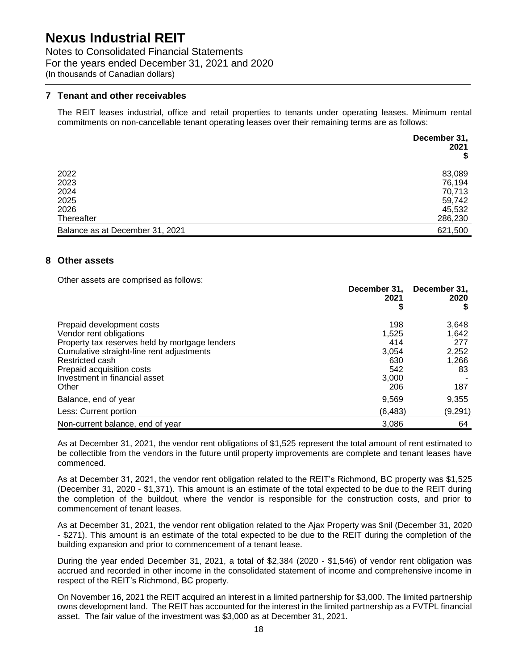Notes to Consolidated Financial Statements For the years ended December 31, 2021 and 2020 (In thousands of Canadian dollars)

### **7 Tenant and other receivables**

The REIT leases industrial, office and retail properties to tenants under operating leases. Minimum rental commitments on non-cancellable tenant operating leases over their remaining terms are as follows:

|                                 | December 31,<br>2021<br>\$ |
|---------------------------------|----------------------------|
| 2022<br>2023                    | 83,089<br>76,194           |
| 2024                            | 70,713                     |
| 2025                            | 59,742                     |
| 2026<br>Thereafter              | 45,532<br>286,230          |
| Balance as at December 31, 2021 | 621,500                    |

### **8 Other assets**

Other assets are comprised as follows:

|                                                | December 31,<br>2021<br>\$ | December 31,<br>2020<br>C |
|------------------------------------------------|----------------------------|---------------------------|
| Prepaid development costs                      | 198                        | 3,648                     |
| Vendor rent obligations                        | 1.525                      | 1,642                     |
| Property tax reserves held by mortgage lenders | 414                        | 277                       |
| Cumulative straight-line rent adjustments      | 3.054                      | 2,252                     |
| Restricted cash                                | 630                        | 1,266                     |
| Prepaid acquisition costs                      | 542                        | 83                        |
| Investment in financial asset                  | 3.000                      |                           |
| Other                                          | 206                        | 187                       |
| Balance, end of year                           | 9,569                      | 9,355                     |
| Less: Current portion                          | (6, 483)                   | (9, 291)                  |
| Non-current balance, end of year               | 3.086                      | 64                        |

As at December 31, 2021, the vendor rent obligations of \$1,525 represent the total amount of rent estimated to be collectible from the vendors in the future until property improvements are complete and tenant leases have commenced.

As at December 31, 2021, the vendor rent obligation related to the REIT's Richmond, BC property was \$1,525 (December 31, 2020 - \$1,371). This amount is an estimate of the total expected to be due to the REIT during the completion of the buildout, where the vendor is responsible for the construction costs, and prior to commencement of tenant leases.

As at December 31, 2021, the vendor rent obligation related to the Ajax Property was \$nil (December 31, 2020 - \$271). This amount is an estimate of the total expected to be due to the REIT during the completion of the building expansion and prior to commencement of a tenant lease.

During the year ended December 31, 2021, a total of \$2,384 (2020 - \$1,546) of vendor rent obligation was accrued and recorded in other income in the consolidated statement of income and comprehensive income in respect of the REIT's Richmond, BC property.

On November 16, 2021 the REIT acquired an interest in a limited partnership for \$3,000. The limited partnership owns development land. The REIT has accounted for the interest in the limited partnership as a FVTPL financial asset. The fair value of the investment was \$3,000 as at December 31, 2021.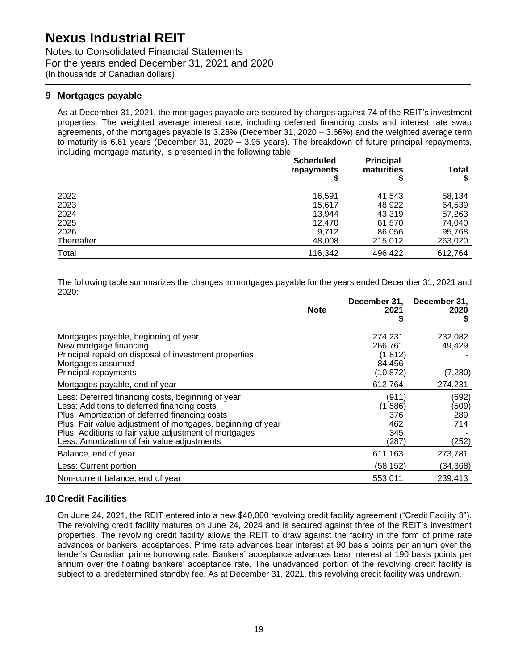Notes to Consolidated Financial Statements For the years ended December 31, 2021 and 2020 (In thousands of Canadian dollars)

### **9 Mortgages payable**

As at December 31, 2021, the mortgages payable are secured by charges against 74 of the REIT's investment properties. The weighted average interest rate, including deferred financing costs and interest rate swap agreements, of the mortgages payable is 3.28% (December 31, 2020 – 3.66%) and the weighted average term to maturity is 6.61 years (December 31, 2020 – 3.95 years). The breakdown of future principal repayments, including mortgage maturity, is presented in the following table:

|            | <b>Scheduled</b><br>repayments | <b>Principal</b><br>maturities<br>\$ | <b>Total</b><br>\$ |
|------------|--------------------------------|--------------------------------------|--------------------|
| 2022       | 16,591                         | 41,543                               | 58,134             |
| 2023       | 15,617                         | 48,922                               | 64,539             |
| 2024       | 13,944                         | 43,319                               | 57,263             |
| 2025       | 12.470                         | 61,570                               | 74,040             |
| 2026       | 9.712                          | 86,056                               | 95,768             |
| Thereafter | 48,008                         | 215,012                              | 263,020            |
| Total      | 116,342                        | 496,422                              | 612,764            |

The following table summarizes the changes in mortgages payable for the years ended December 31, 2021 and 2020:

|                                                                                                                                                                                                                                                                                                                            | <b>Note</b> | December 31,<br>2021                                 | December 31,<br>2020<br>S             |
|----------------------------------------------------------------------------------------------------------------------------------------------------------------------------------------------------------------------------------------------------------------------------------------------------------------------------|-------------|------------------------------------------------------|---------------------------------------|
| Mortgages payable, beginning of year<br>New mortgage financing<br>Principal repaid on disposal of investment properties<br>Mortgages assumed<br>Principal repayments                                                                                                                                                       |             | 274,231<br>266,761<br>(1, 812)<br>84,456<br>(10,872) | 232,082<br>49,429<br>(7, 280)         |
| Mortgages payable, end of year                                                                                                                                                                                                                                                                                             |             | 612,764                                              | 274,231                               |
| Less: Deferred financing costs, beginning of year<br>Less: Additions to deferred financing costs<br>Plus: Amortization of deferred financing costs<br>Plus: Fair value adjustment of mortgages, beginning of year<br>Plus: Additions to fair value adjustment of mortgages<br>Less: Amortization of fair value adjustments |             | (911)<br>(1,586)<br>376<br>462<br>345<br>(287)       | (692)<br>(509)<br>289<br>714<br>(252) |
| Balance, end of year                                                                                                                                                                                                                                                                                                       |             | 611,163                                              | 273,781                               |
| Less: Current portion                                                                                                                                                                                                                                                                                                      |             | (58, 152)                                            | (34, 368)                             |
| Non-current balance, end of year                                                                                                                                                                                                                                                                                           |             | 553,011                                              | 239,413                               |

### **10 Credit Facilities**

On June 24, 2021, the REIT entered into a new \$40,000 revolving credit facility agreement ("Credit Facility 3"). The revolving credit facility matures on June 24, 2024 and is secured against three of the REIT's investment properties. The revolving credit facility allows the REIT to draw against the facility in the form of prime rate advances or bankers' acceptances. Prime rate advances bear interest at 90 basis points per annum over the lender's Canadian prime borrowing rate. Bankers' acceptance advances bear interest at 190 basis points per annum over the floating bankers' acceptance rate. The unadvanced portion of the revolving credit facility is subject to a predetermined standby fee. As at December 31, 2021, this revolving credit facility was undrawn.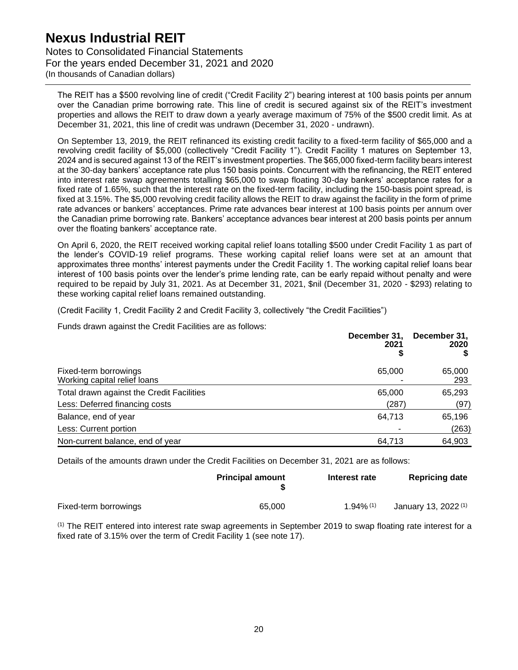Notes to Consolidated Financial Statements For the years ended December 31, 2021 and 2020 (In thousands of Canadian dollars)

The REIT has a \$500 revolving line of credit ("Credit Facility 2") bearing interest at 100 basis points per annum over the Canadian prime borrowing rate. This line of credit is secured against six of the REIT's investment properties and allows the REIT to draw down a yearly average maximum of 75% of the \$500 credit limit. As at December 31, 2021, this line of credit was undrawn (December 31, 2020 - undrawn).

On September 13, 2019, the REIT refinanced its existing credit facility to a fixed-term facility of \$65,000 and a revolving credit facility of \$5,000 (collectively "Credit Facility 1"). Credit Facility 1 matures on September 13, 2024 and is secured against 13 of the REIT's investment properties. The \$65,000 fixed-term facility bears interest at the 30-day bankers' acceptance rate plus 150 basis points. Concurrent with the refinancing, the REIT entered into interest rate swap agreements totalling \$65,000 to swap floating 30-day bankers' acceptance rates for a fixed rate of 1.65%, such that the interest rate on the fixed-term facility, including the 150-basis point spread, is fixed at 3.15%. The \$5,000 revolving credit facility allows the REIT to draw against the facility in the form of prime rate advances or bankers' acceptances. Prime rate advances bear interest at 100 basis points per annum over the Canadian prime borrowing rate. Bankers' acceptance advances bear interest at 200 basis points per annum over the floating bankers' acceptance rate.

On April 6, 2020, the REIT received working capital relief loans totalling \$500 under Credit Facility 1 as part of the lender's COVID-19 relief programs. These working capital relief loans were set at an amount that approximates three months' interest payments under the Credit Facility 1. The working capital relief loans bear interest of 100 basis points over the lender's prime lending rate, can be early repaid without penalty and were required to be repaid by July 31, 2021. As at December 31, 2021, \$nil (December 31, 2020 - \$293) relating to these working capital relief loans remained outstanding.

(Credit Facility 1, Credit Facility 2 and Credit Facility 3, collectively "the Credit Facilities")

Funds drawn against the Credit Facilities are as follows:

|                                                       | December 31,<br>2021<br>\$ | December 31,<br>2020 |
|-------------------------------------------------------|----------------------------|----------------------|
| Fixed-term borrowings<br>Working capital relief loans | 65,000                     | 65,000<br>293        |
| Total drawn against the Credit Facilities             | 65,000                     | 65,293               |
| Less: Deferred financing costs                        | (287)                      | (97)                 |
| Balance, end of year                                  | 64,713                     | 65,196               |
| Less: Current portion                                 |                            | (263)                |
| Non-current balance, end of year                      | 64.713                     | 64,903               |

Details of the amounts drawn under the Credit Facilities on December 31, 2021 are as follows:

|                       | <b>Principal amount</b> | Interest rate | <b>Repricing date</b>           |
|-----------------------|-------------------------|---------------|---------------------------------|
| Fixed-term borrowings | 65,000                  | $1.94\%$ (1)  | January 13, 2022 <sup>(1)</sup> |

(1) The REIT entered into interest rate swap agreements in September 2019 to swap floating rate interest for a fixed rate of 3.15% over the term of Credit Facility 1 (see note 17).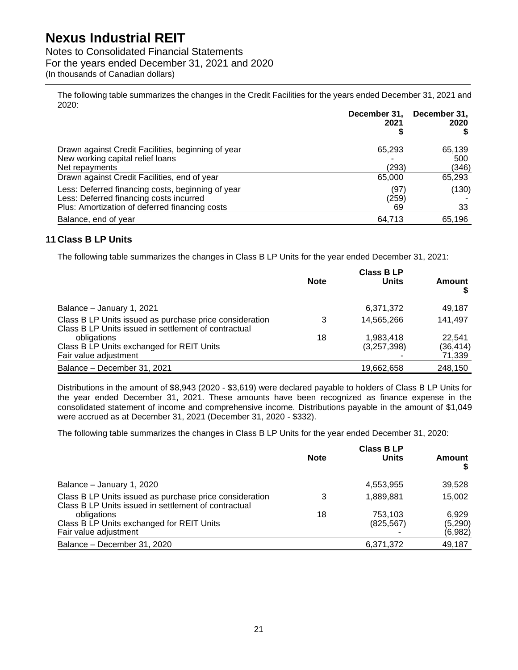Notes to Consolidated Financial Statements For the years ended December 31, 2021 and 2020 (In thousands of Canadian dollars)

The following table summarizes the changes in the Credit Facilities for the years ended December 31, 2021 and 2020:

|                                                                                                                                                | December 31,<br>2021<br>\$ | December 31,<br>2020   |
|------------------------------------------------------------------------------------------------------------------------------------------------|----------------------------|------------------------|
| Drawn against Credit Facilities, beginning of year<br>New working capital relief loans<br>Net repayments                                       | 65,293<br>(293)            | 65,139<br>500<br>(346) |
| Drawn against Credit Facilities, end of year                                                                                                   | 65,000                     | 65,293                 |
| Less: Deferred financing costs, beginning of year<br>Less: Deferred financing costs incurred<br>Plus: Amortization of deferred financing costs | (97)<br>(259)<br>69        | (130)<br>33            |
| Balance, end of year                                                                                                                           | 64,713                     | 65,196                 |

### **11 Class B LP Units**

The following table summarizes the changes in Class B LP Units for the year ended December 31, 2021:

|                                                                                                                 | <b>Note</b> | <b>Units</b> | Amount    |
|-----------------------------------------------------------------------------------------------------------------|-------------|--------------|-----------|
| Balance - January 1, 2021                                                                                       |             | 6,371,372    | 49,187    |
| Class B LP Units issued as purchase price consideration<br>Class B LP Units issued in settlement of contractual | 3           | 14,565,266   | 141,497   |
| obligations                                                                                                     | 18          | 1,983,418    | 22.541    |
| Class B LP Units exchanged for REIT Units                                                                       |             | (3,257,398)  | (36, 414) |
| Fair value adjustment                                                                                           |             |              | 71,339    |
| Balance - December 31, 2021                                                                                     |             | 19,662,658   | 248,150   |

Distributions in the amount of \$8,943 (2020 - \$3,619) were declared payable to holders of Class B LP Units for the year ended December 31, 2021. These amounts have been recognized as finance expense in the consolidated statement of income and comprehensive income. Distributions payable in the amount of \$1,049 were accrued as at December 31, 2021 (December 31, 2020 - \$332).

The following table summarizes the changes in Class B LP Units for the year ended December 31, 2020:

|                                                                                                                 | <b>Note</b> | <b>Units</b>          | Amount            |
|-----------------------------------------------------------------------------------------------------------------|-------------|-----------------------|-------------------|
| Balance - January 1, 2020                                                                                       |             | 4,553,955             | 39,528            |
| Class B LP Units issued as purchase price consideration<br>Class B LP Units issued in settlement of contractual | 3           | 1,889,881             | 15,002            |
| obligations<br>Class B LP Units exchanged for REIT Units                                                        | 18          | 753.103<br>(825, 567) | 6,929<br>(5,290)  |
| Fair value adjustment<br>Balance - December 31, 2020                                                            |             | 6,371,372             | (6,982)<br>49,187 |
|                                                                                                                 |             |                       |                   |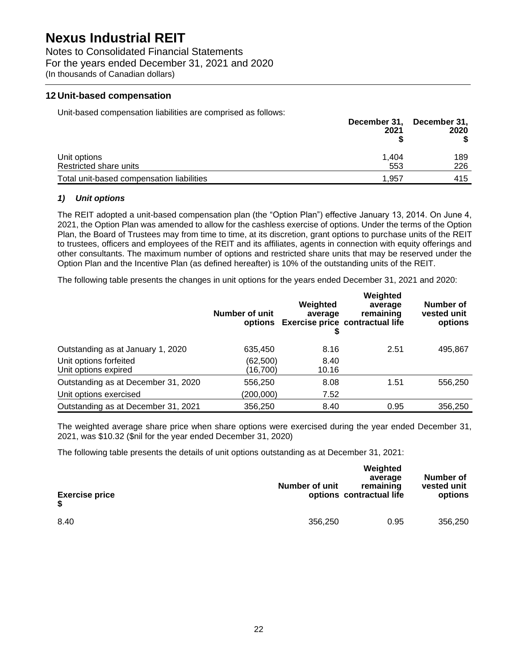Notes to Consolidated Financial Statements For the years ended December 31, 2021 and 2020 (In thousands of Canadian dollars)

### **12 Unit-based compensation**

Unit-based compensation liabilities are comprised as follows:

|                                           | December 31,<br>2021 | December 31,<br>2020<br>S |  |
|-------------------------------------------|----------------------|---------------------------|--|
| Unit options                              | 1.404                | 189                       |  |
| Restricted share units                    | 553                  | 226                       |  |
| Total unit-based compensation liabilities | 1.957                | 415                       |  |

### *1) Unit options*

The REIT adopted a unit-based compensation plan (the "Option Plan") effective January 13, 2014. On June 4, 2021, the Option Plan was amended to allow for the cashless exercise of options. Under the terms of the Option Plan, the Board of Trustees may from time to time, at its discretion, grant options to purchase units of the REIT to trustees, officers and employees of the REIT and its affiliates, agents in connection with equity offerings and other consultants. The maximum number of options and restricted share units that may be reserved under the Option Plan and the Incentive Plan (as defined hereafter) is 10% of the outstanding units of the REIT.

The following table presents the changes in unit options for the years ended December 31, 2021 and 2020:

|                                                | <b>Number of unit</b><br>options | Weighted<br>average<br>5 | Weighted<br>average<br>remaining<br><b>Exercise price contractual life</b> | Number of<br>vested unit<br>options |
|------------------------------------------------|----------------------------------|--------------------------|----------------------------------------------------------------------------|-------------------------------------|
| Outstanding as at January 1, 2020              | 635,450                          | 8.16                     | 2.51                                                                       | 495,867                             |
| Unit options forfeited<br>Unit options expired | (62,500)<br>(16,700)             | 8.40<br>10.16            |                                                                            |                                     |
| Outstanding as at December 31, 2020            | 556,250                          | 8.08                     | 1.51                                                                       | 556,250                             |
| Unit options exercised                         | (200,000)                        | 7.52                     |                                                                            |                                     |
| Outstanding as at December 31, 2021            | 356,250                          | 8.40                     | 0.95                                                                       | 356,250                             |

The weighted average share price when share options were exercised during the year ended December 31, 2021, was \$10.32 (\$nil for the year ended December 31, 2020)

The following table presents the details of unit options outstanding as at December 31, 2021:

| <b>Exercise price</b><br>\$ | <b>Number of unit</b> | Weighted<br>average<br>remaining<br>options contractual life | Number of<br>vested unit<br>options |
|-----------------------------|-----------------------|--------------------------------------------------------------|-------------------------------------|
| 8.40                        | 356,250               | 0.95                                                         | 356,250                             |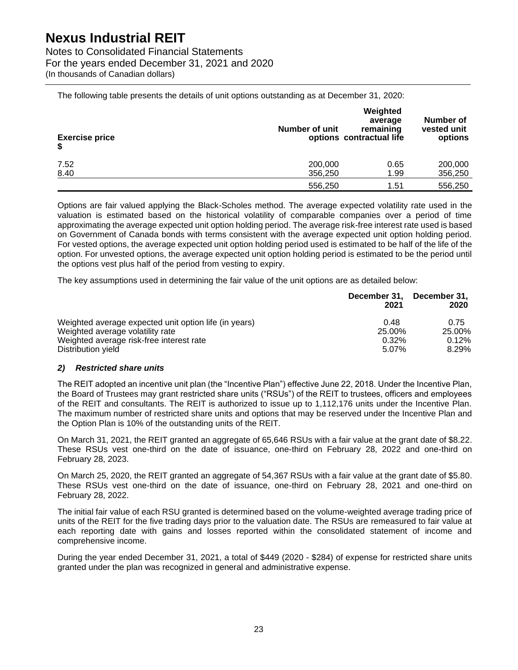Notes to Consolidated Financial Statements For the years ended December 31, 2021 and 2020 (In thousands of Canadian dollars)

The following table presents the details of unit options outstanding as at December 31, 2020:

| <b>Exercise price</b><br>\$ | <b>Number of unit</b> | Weighted<br>average<br>remaining<br>options contractual life | Number of<br>vested unit<br>options |
|-----------------------------|-----------------------|--------------------------------------------------------------|-------------------------------------|
| 7.52                        | 200,000               | 0.65                                                         | 200,000                             |
| 8.40                        | 356,250               | 1.99                                                         | 356,250                             |
|                             | 556,250               | 1.51                                                         | 556,250                             |

Options are fair valued applying the Black-Scholes method. The average expected volatility rate used in the valuation is estimated based on the historical volatility of comparable companies over a period of time approximating the average expected unit option holding period. The average risk-free interest rate used is based on Government of Canada bonds with terms consistent with the average expected unit option holding period. For vested options, the average expected unit option holding period used is estimated to be half of the life of the option. For unvested options, the average expected unit option holding period is estimated to be the period until the options vest plus half of the period from vesting to expiry.

The key assumptions used in determining the fair value of the unit options are as detailed below:

|                                                       | December 31,<br>2021 | December 31.<br>2020 |  |
|-------------------------------------------------------|----------------------|----------------------|--|
| Weighted average expected unit option life (in years) | 0.48                 | 0.75                 |  |
| Weighted average volatility rate                      | 25.00%               | 25.00%               |  |
| Weighted average risk-free interest rate              | 0.32%                | 0.12%                |  |
| Distribution yield                                    | 5.07%                | 8.29%                |  |

#### *2) Restricted share units*

The REIT adopted an incentive unit plan (the "Incentive Plan") effective June 22, 2018. Under the Incentive Plan, the Board of Trustees may grant restricted share units ("RSUs") of the REIT to trustees, officers and employees of the REIT and consultants. The REIT is authorized to issue up to 1,112,176 units under the Incentive Plan. The maximum number of restricted share units and options that may be reserved under the Incentive Plan and the Option Plan is 10% of the outstanding units of the REIT.

On March 31, 2021, the REIT granted an aggregate of 65,646 RSUs with a fair value at the grant date of \$8.22. These RSUs vest one-third on the date of issuance, one-third on February 28, 2022 and one-third on February 28, 2023.

On March 25, 2020, the REIT granted an aggregate of 54,367 RSUs with a fair value at the grant date of \$5.80. These RSUs vest one-third on the date of issuance, one-third on February 28, 2021 and one-third on February 28, 2022.

The initial fair value of each RSU granted is determined based on the volume-weighted average trading price of units of the REIT for the five trading days prior to the valuation date. The RSUs are remeasured to fair value at each reporting date with gains and losses reported within the consolidated statement of income and comprehensive income.

During the year ended December 31, 2021, a total of \$449 (2020 - \$284) of expense for restricted share units granted under the plan was recognized in general and administrative expense.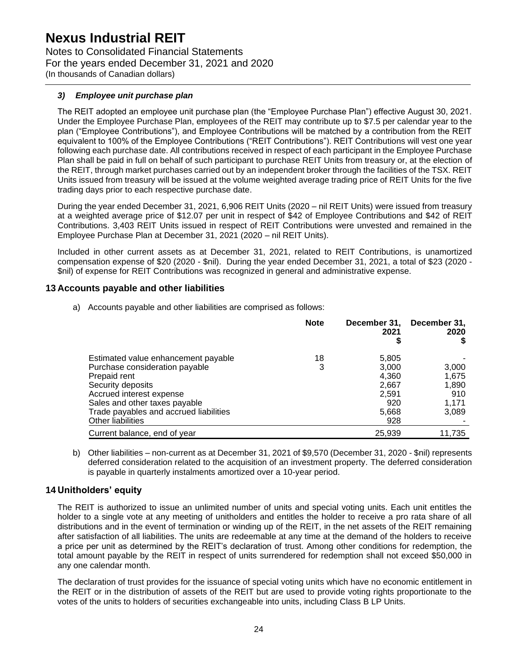Notes to Consolidated Financial Statements For the years ended December 31, 2021 and 2020 (In thousands of Canadian dollars)

### *3) Employee unit purchase plan*

The REIT adopted an employee unit purchase plan (the "Employee Purchase Plan") effective August 30, 2021. Under the Employee Purchase Plan, employees of the REIT may contribute up to \$7.5 per calendar year to the plan ("Employee Contributions"), and Employee Contributions will be matched by a contribution from the REIT equivalent to 100% of the Employee Contributions ("REIT Contributions"). REIT Contributions will vest one year following each purchase date. All contributions received in respect of each participant in the Employee Purchase Plan shall be paid in full on behalf of such participant to purchase REIT Units from treasury or, at the election of the REIT, through market purchases carried out by an independent broker through the facilities of the TSX. REIT Units issued from treasury will be issued at the volume weighted average trading price of REIT Units for the five trading days prior to each respective purchase date.

During the year ended December 31, 2021, 6,906 REIT Units (2020 – nil REIT Units) were issued from treasury at a weighted average price of \$12.07 per unit in respect of \$42 of Employee Contributions and \$42 of REIT Contributions. 3,403 REIT Units issued in respect of REIT Contributions were unvested and remained in the Employee Purchase Plan at December 31, 2021 (2020 – nil REIT Units).

Included in other current assets as at December 31, 2021, related to REIT Contributions, is unamortized compensation expense of \$20 (2020 - \$nil). During the year ended December 31, 2021, a total of \$23 (2020 - \$nil) of expense for REIT Contributions was recognized in general and administrative expense.

### **13 Accounts payable and other liabilities**

|                                        | <b>Note</b> | December 31,<br>2021<br>\$ | December 31,<br>2020 |
|----------------------------------------|-------------|----------------------------|----------------------|
| Estimated value enhancement payable    | 18          | 5,805                      |                      |
| Purchase consideration payable         | 3           | 3,000                      | 3,000                |
| Prepaid rent                           |             | 4,360                      | 1,675                |
| Security deposits                      |             | 2,667                      | 1,890                |
| Accrued interest expense               |             | 2,591                      | 910                  |
| Sales and other taxes payable          |             | 920                        | 1.171                |
| Trade payables and accrued liabilities |             | 5,668                      | 3,089                |
| <b>Other liabilities</b>               |             | 928                        |                      |
| Current balance, end of year           |             | 25,939                     | 11,735               |

a) Accounts payable and other liabilities are comprised as follows:

b) Other liabilities – non-current as at December 31, 2021 of \$9,570 (December 31, 2020 - \$nil) represents deferred consideration related to the acquisition of an investment property. The deferred consideration is payable in quarterly instalments amortized over a 10-year period.

### **14 Unitholders' equity**

The REIT is authorized to issue an unlimited number of units and special voting units. Each unit entitles the holder to a single vote at any meeting of unitholders and entitles the holder to receive a pro rata share of all distributions and in the event of termination or winding up of the REIT, in the net assets of the REIT remaining after satisfaction of all liabilities. The units are redeemable at any time at the demand of the holders to receive a price per unit as determined by the REIT's declaration of trust. Among other conditions for redemption, the total amount payable by the REIT in respect of units surrendered for redemption shall not exceed \$50,000 in any one calendar month.

The declaration of trust provides for the issuance of special voting units which have no economic entitlement in the REIT or in the distribution of assets of the REIT but are used to provide voting rights proportionate to the votes of the units to holders of securities exchangeable into units, including Class B LP Units.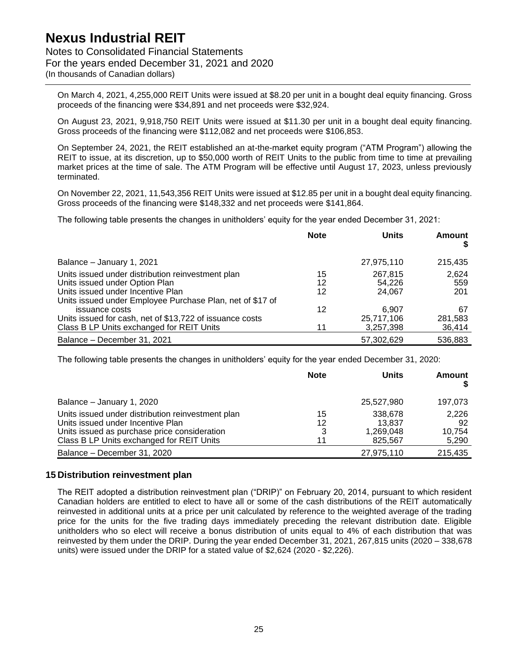Notes to Consolidated Financial Statements For the years ended December 31, 2021 and 2020 (In thousands of Canadian dollars)

On March 4, 2021, 4,255,000 REIT Units were issued at \$8.20 per unit in a bought deal equity financing. Gross proceeds of the financing were \$34,891 and net proceeds were \$32,924.

On August 23, 2021, 9,918,750 REIT Units were issued at \$11.30 per unit in a bought deal equity financing. Gross proceeds of the financing were \$112,082 and net proceeds were \$106,853.

On September 24, 2021, the REIT established an at-the-market equity program ("ATM Program") allowing the REIT to issue, at its discretion, up to \$50,000 worth of REIT Units to the public from time to time at prevailing market prices at the time of sale. The ATM Program will be effective until August 17, 2023, unless previously terminated.

On November 22, 2021, 11,543,356 REIT Units were issued at \$12.85 per unit in a bought deal equity financing. Gross proceeds of the financing were \$148,332 and net proceeds were \$141,864.

The following table presents the changes in unitholders' equity for the year ended December 31, 2021:

|                                                                                                       | <b>Note</b> | <b>Units</b>            | Amount            |
|-------------------------------------------------------------------------------------------------------|-------------|-------------------------|-------------------|
| Balance - January 1, 2021                                                                             |             | 27,975,110              | 215,435           |
| Units issued under distribution reinvestment plan<br>Units issued under Option Plan                   | 15<br>12    | 267.815<br>54.226       | 2,624<br>559      |
| Units issued under Incentive Plan                                                                     | 12          | 24.067                  | 201               |
| Units issued under Employee Purchase Plan, net of \$17 of<br>issuance costs                           | 12          | 6.907                   | 67                |
| Units issued for cash, net of \$13,722 of issuance costs<br>Class B LP Units exchanged for REIT Units | 11          | 25,717,106<br>3,257,398 | 281,583<br>36,414 |
| Balance - December 31, 2021                                                                           |             | 57,302,629              | 536,883           |

The following table presents the changes in unitholders' equity for the year ended December 31, 2020:

|                                                                                           | <b>Note</b> | <b>Units</b>         | Amount          |
|-------------------------------------------------------------------------------------------|-------------|----------------------|-----------------|
| Balance - January 1, 2020                                                                 |             | 25,527,980           | 197,073         |
| Units issued under distribution reinvestment plan<br>Units issued under Incentive Plan    | 15<br>12    | 338,678<br>13.837    | 2,226<br>92     |
| Units issued as purchase price consideration<br>Class B LP Units exchanged for REIT Units | 3<br>11     | 1,269,048<br>825,567 | 10,754<br>5,290 |
| Balance - December 31, 2020                                                               |             | 27,975,110           | 215.435         |

### **15 Distribution reinvestment plan**

The REIT adopted a distribution reinvestment plan ("DRIP)" on February 20, 2014, pursuant to which resident Canadian holders are entitled to elect to have all or some of the cash distributions of the REIT automatically reinvested in additional units at a price per unit calculated by reference to the weighted average of the trading price for the units for the five trading days immediately preceding the relevant distribution date. Eligible unitholders who so elect will receive a bonus distribution of units equal to 4% of each distribution that was reinvested by them under the DRIP. During the year ended December 31, 2021, 267,815 units (2020 – 338,678 units) were issued under the DRIP for a stated value of \$2,624 (2020 - \$2,226).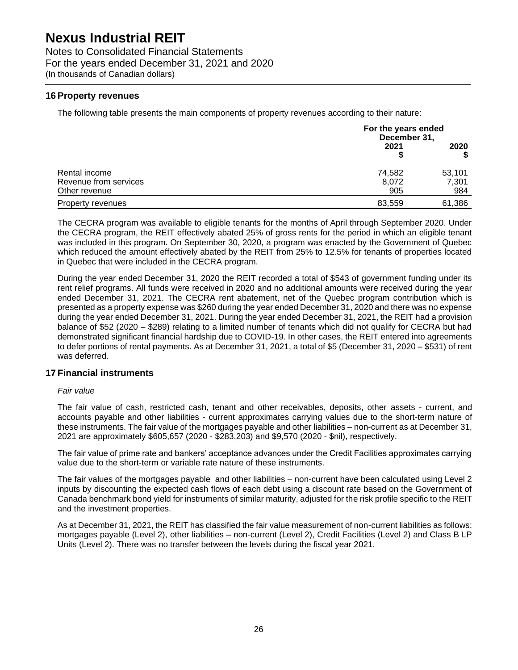Notes to Consolidated Financial Statements For the years ended December 31, 2021 and 2020 (In thousands of Canadian dollars)

### **16 Property revenues**

The following table presents the main components of property revenues according to their nature:

|                                        |              | For the years ended<br>December 31, |  |  |
|----------------------------------------|--------------|-------------------------------------|--|--|
|                                        | 2021         | 2020                                |  |  |
| Rental income                          | 74,582       | 53,101                              |  |  |
| Revenue from services<br>Other revenue | 8,072<br>905 | 7,301<br>984                        |  |  |
| Property revenues                      | 83,559       | 61.386                              |  |  |

The CECRA program was available to eligible tenants for the months of April through September 2020. Under the CECRA program, the REIT effectively abated 25% of gross rents for the period in which an eligible tenant was included in this program. On September 30, 2020, a program was enacted by the Government of Quebec which reduced the amount effectively abated by the REIT from 25% to 12.5% for tenants of properties located in Quebec that were included in the CECRA program.

During the year ended December 31, 2020 the REIT recorded a total of \$543 of government funding under its rent relief programs. All funds were received in 2020 and no additional amounts were received during the year ended December 31, 2021. The CECRA rent abatement, net of the Quebec program contribution which is presented as a property expense was \$260 during the year ended December 31, 2020 and there was no expense during the year ended December 31, 2021. During the year ended December 31, 2021, the REIT had a provision balance of \$52 (2020 – \$289) relating to a limited number of tenants which did not qualify for CECRA but had demonstrated significant financial hardship due to COVID-19. In other cases, the REIT entered into agreements to defer portions of rental payments. As at December 31, 2021, a total of \$5 (December 31, 2020 – \$531) of rent was deferred.

### **17 Financial instruments**

#### *Fair value*

The fair value of cash, restricted cash, tenant and other receivables, deposits, other assets - current, and accounts payable and other liabilities - current approximates carrying values due to the short-term nature of these instruments. The fair value of the mortgages payable and other liabilities – non-current as at December 31, 2021 are approximately \$605,657 (2020 - \$283,203) and \$9,570 (2020 - \$nil), respectively.

The fair value of prime rate and bankers' acceptance advances under the Credit Facilities approximates carrying value due to the short-term or variable rate nature of these instruments.

The fair values of the mortgages payable and other liabilities – non-current have been calculated using Level 2 inputs by discounting the expected cash flows of each debt using a discount rate based on the Government of Canada benchmark bond yield for instruments of similar maturity, adjusted for the risk profile specific to the REIT and the investment properties.

As at December 31, 2021, the REIT has classified the fair value measurement of non-current liabilities as follows: mortgages payable (Level 2), other liabilities – non-current (Level 2), Credit Facilities (Level 2) and Class B LP Units (Level 2). There was no transfer between the levels during the fiscal year 2021.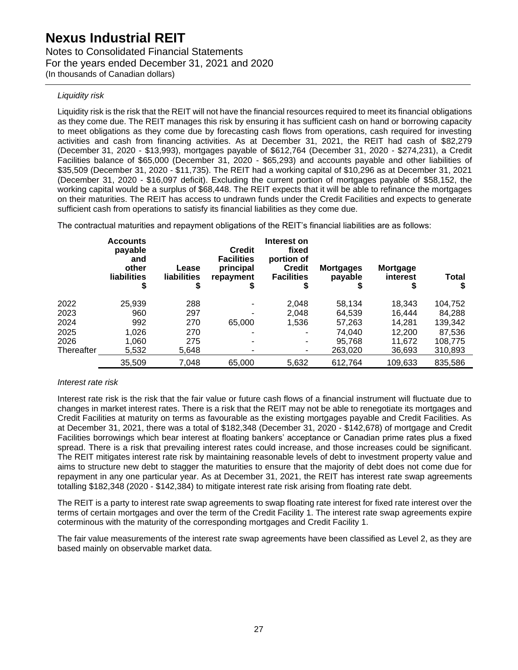Notes to Consolidated Financial Statements For the years ended December 31, 2021 and 2020 (In thousands of Canadian dollars)

### *Liquidity risk*

Liquidity risk is the risk that the REIT will not have the financial resources required to meet its financial obligations as they come due. The REIT manages this risk by ensuring it has sufficient cash on hand or borrowing capacity to meet obligations as they come due by forecasting cash flows from operations, cash required for investing activities and cash from financing activities. As at December 31, 2021, the REIT had cash of \$82,279 (December 31, 2020 - \$13,993), mortgages payable of \$612,764 (December 31, 2020 - \$274,231), a Credit Facilities balance of \$65,000 (December 31, 2020 - \$65,293) and accounts payable and other liabilities of \$35,509 (December 31, 2020 - \$11,735). The REIT had a working capital of \$10,296 as at December 31, 2021 (December 31, 2020 - \$16,097 deficit). Excluding the current portion of mortgages payable of \$58,152, the working capital would be a surplus of \$68,448. The REIT expects that it will be able to refinance the mortgages on their maturities. The REIT has access to undrawn funds under the Credit Facilities and expects to generate sufficient cash from operations to satisfy its financial liabilities as they come due.

The contractual maturities and repayment obligations of the REIT's financial liabilities are as follows:

|            | <b>Accounts</b><br>payable<br>and<br>other<br><b>liabilities</b><br>\$ | Lease<br><b>liabilities</b><br>\$ | <b>Credit</b><br><b>Facilities</b><br>principal<br>repayment | Interest on<br>fixed<br>portion of<br><b>Credit</b><br><b>Facilities</b> | <b>Mortgages</b><br>payable | Mortgage<br>interest | <b>Total</b> |
|------------|------------------------------------------------------------------------|-----------------------------------|--------------------------------------------------------------|--------------------------------------------------------------------------|-----------------------------|----------------------|--------------|
| 2022       | 25,939                                                                 | 288                               |                                                              | 2.048                                                                    | 58,134                      | 18.343               | 104,752      |
| 2023       | 960                                                                    | 297                               | ٠                                                            | 2.048                                                                    | 64,539                      | 16.444               | 84,288       |
| 2024       | 992                                                                    | 270                               | 65,000                                                       | 1,536                                                                    | 57,263                      | 14,281               | 139,342      |
| 2025       | 1,026                                                                  | 270                               | ۰                                                            |                                                                          | 74.040                      | 12.200               | 87,536       |
| 2026       | 1,060                                                                  | 275                               | $\overline{\phantom{0}}$                                     |                                                                          | 95.768                      | 11,672               | 108.775      |
| Thereafter | 5,532                                                                  | 5,648                             | ۰                                                            |                                                                          | 263,020                     | 36,693               | 310,893      |
|            | 35,509                                                                 | 7,048                             | 65,000                                                       | 5,632                                                                    | 612,764                     | 109,633              | 835,586      |

#### *Interest rate risk*

Interest rate risk is the risk that the fair value or future cash flows of a financial instrument will fluctuate due to changes in market interest rates. There is a risk that the REIT may not be able to renegotiate its mortgages and Credit Facilities at maturity on terms as favourable as the existing mortgages payable and Credit Facilities. As at December 31, 2021, there was a total of \$182,348 (December 31, 2020 - \$142,678) of mortgage and Credit Facilities borrowings which bear interest at floating bankers' acceptance or Canadian prime rates plus a fixed spread. There is a risk that prevailing interest rates could increase, and those increases could be significant. The REIT mitigates interest rate risk by maintaining reasonable levels of debt to investment property value and aims to structure new debt to stagger the maturities to ensure that the majority of debt does not come due for repayment in any one particular year. As at December 31, 2021, the REIT has interest rate swap agreements totalling \$182,348 (2020 - \$142,384) to mitigate interest rate risk arising from floating rate debt.

The REIT is a party to interest rate swap agreements to swap floating rate interest for fixed rate interest over the terms of certain mortgages and over the term of the Credit Facility 1. The interest rate swap agreements expire coterminous with the maturity of the corresponding mortgages and Credit Facility 1.

The fair value measurements of the interest rate swap agreements have been classified as Level 2, as they are based mainly on observable market data.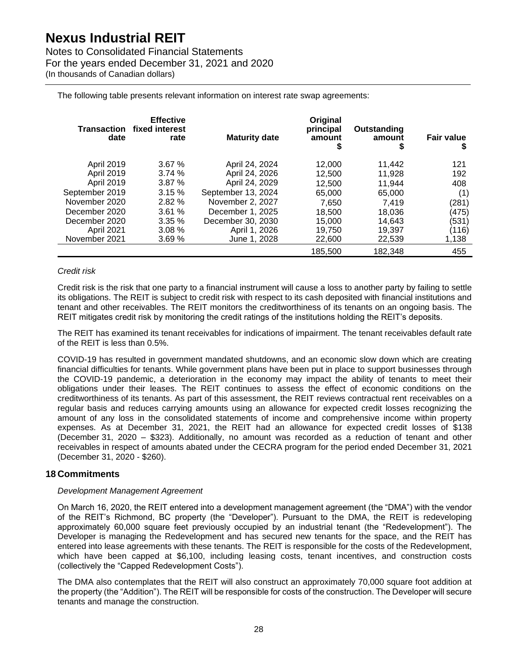Notes to Consolidated Financial Statements For the years ended December 31, 2021 and 2020 (In thousands of Canadian dollars)

The following table presents relevant information on interest rate swap agreements:

| Transaction<br>date | <b>Effective</b><br>fixed interest<br>rate | <b>Maturity date</b> | Original<br>principal<br>amount<br>\$ | Outstanding<br>amount<br>\$ | <b>Fair value</b> |
|---------------------|--------------------------------------------|----------------------|---------------------------------------|-----------------------------|-------------------|
| April 2019          | 3.67%                                      | April 24, 2024       | 12,000                                | 11,442                      | 121               |
| <b>April 2019</b>   | 3.74%                                      | April 24, 2026       | 12.500                                | 11.928                      | 192               |
| <b>April 2019</b>   | 3.87%                                      | April 24, 2029       | 12.500                                | 11.944                      | 408               |
| September 2019      | 3.15%                                      | September 13, 2024   | 65,000                                | 65,000                      | (1)               |
| November 2020       | 2.82%                                      | November 2, 2027     | 7.650                                 | 7.419                       | (281)             |
| December 2020       | 3.61%                                      | December 1, 2025     | 18.500                                | 18.036                      | (475)             |
| December 2020       | 3.35%                                      | December 30, 2030    | 15.000                                | 14.643                      | (531)             |
| April 2021          | 3.08%                                      | April 1, 2026        | 19,750                                | 19,397                      | (116)             |
| November 2021       | 3.69%                                      | June 1, 2028         | 22,600                                | 22,539                      | 1,138             |
|                     |                                            |                      | 185.500                               | 182,348                     | 455               |

#### *Credit risk*

Credit risk is the risk that one party to a financial instrument will cause a loss to another party by failing to settle its obligations. The REIT is subject to credit risk with respect to its cash deposited with financial institutions and tenant and other receivables. The REIT monitors the creditworthiness of its tenants on an ongoing basis. The REIT mitigates credit risk by monitoring the credit ratings of the institutions holding the REIT's deposits.

The REIT has examined its tenant receivables for indications of impairment. The tenant receivables default rate of the REIT is less than 0.5%.

COVID-19 has resulted in government mandated shutdowns, and an economic slow down which are creating financial difficulties for tenants. While government plans have been put in place to support businesses through the COVID-19 pandemic, a deterioration in the economy may impact the ability of tenants to meet their obligations under their leases. The REIT continues to assess the effect of economic conditions on the creditworthiness of its tenants. As part of this assessment, the REIT reviews contractual rent receivables on a regular basis and reduces carrying amounts using an allowance for expected credit losses recognizing the amount of any loss in the consolidated statements of income and comprehensive income within property expenses. As at December 31, 2021, the REIT had an allowance for expected credit losses of \$138 (December 31, 2020 – \$323). Additionally, no amount was recorded as a reduction of tenant and other receivables in respect of amounts abated under the CECRA program for the period ended December 31, 2021 (December 31, 2020 - \$260).

### **18 Commitments**

#### *Development Management Agreement*

On March 16, 2020, the REIT entered into a development management agreement (the "DMA") with the vendor of the REIT's Richmond, BC property (the "Developer"). Pursuant to the DMA, the REIT is redeveloping approximately 60,000 square feet previously occupied by an industrial tenant (the "Redevelopment"). The Developer is managing the Redevelopment and has secured new tenants for the space, and the REIT has entered into lease agreements with these tenants. The REIT is responsible for the costs of the Redevelopment, which have been capped at \$6,100, including leasing costs, tenant incentives, and construction costs (collectively the "Capped Redevelopment Costs").

The DMA also contemplates that the REIT will also construct an approximately 70,000 square foot addition at the property (the "Addition"). The REIT will be responsible for costs of the construction. The Developer will secure tenants and manage the construction.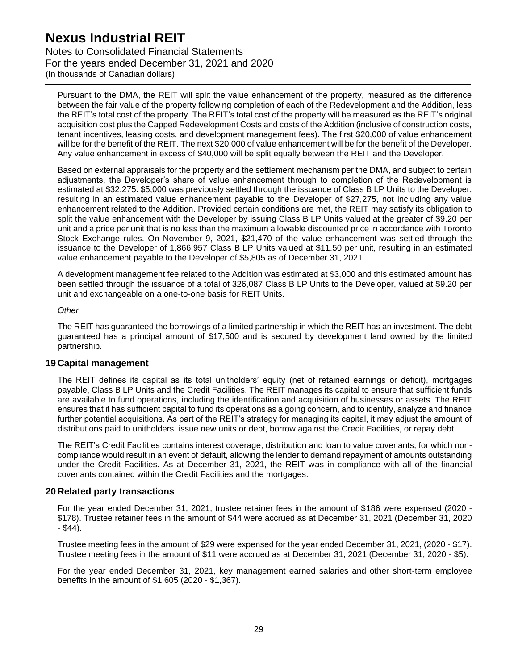Notes to Consolidated Financial Statements For the years ended December 31, 2021 and 2020 (In thousands of Canadian dollars)

Pursuant to the DMA, the REIT will split the value enhancement of the property, measured as the difference between the fair value of the property following completion of each of the Redevelopment and the Addition, less the REIT's total cost of the property. The REIT's total cost of the property will be measured as the REIT's original acquisition cost plus the Capped Redevelopment Costs and costs of the Addition (inclusive of construction costs, tenant incentives, leasing costs, and development management fees). The first \$20,000 of value enhancement will be for the benefit of the REIT. The next \$20,000 of value enhancement will be for the benefit of the Developer. Any value enhancement in excess of \$40,000 will be split equally between the REIT and the Developer.

Based on external appraisals for the property and the settlement mechanism per the DMA, and subject to certain adjustments, the Developer's share of value enhancement through to completion of the Redevelopment is estimated at \$32,275. \$5,000 was previously settled through the issuance of Class B LP Units to the Developer, resulting in an estimated value enhancement payable to the Developer of \$27,275, not including any value enhancement related to the Addition. Provided certain conditions are met, the REIT may satisfy its obligation to split the value enhancement with the Developer by issuing Class B LP Units valued at the greater of \$9.20 per unit and a price per unit that is no less than the maximum allowable discounted price in accordance with Toronto Stock Exchange rules. On November 9, 2021, \$21,470 of the value enhancement was settled through the issuance to the Developer of 1,866,957 Class B LP Units valued at \$11.50 per unit, resulting in an estimated value enhancement payable to the Developer of \$5,805 as of December 31, 2021.

A development management fee related to the Addition was estimated at \$3,000 and this estimated amount has been settled through the issuance of a total of 326,087 Class B LP Units to the Developer, valued at \$9.20 per unit and exchangeable on a one-to-one basis for REIT Units.

#### *Other*

The REIT has guaranteed the borrowings of a limited partnership in which the REIT has an investment. The debt guaranteed has a principal amount of \$17,500 and is secured by development land owned by the limited partnership.

#### **19 Capital management**

The REIT defines its capital as its total unitholders' equity (net of retained earnings or deficit), mortgages payable, Class B LP Units and the Credit Facilities. The REIT manages its capital to ensure that sufficient funds are available to fund operations, including the identification and acquisition of businesses or assets. The REIT ensures that it has sufficient capital to fund its operations as a going concern, and to identify, analyze and finance further potential acquisitions. As part of the REIT's strategy for managing its capital, it may adjust the amount of distributions paid to unitholders, issue new units or debt, borrow against the Credit Facilities, or repay debt.

The REIT's Credit Facilities contains interest coverage, distribution and loan to value covenants, for which noncompliance would result in an event of default, allowing the lender to demand repayment of amounts outstanding under the Credit Facilities. As at December 31, 2021, the REIT was in compliance with all of the financial covenants contained within the Credit Facilities and the mortgages.

### **20 Related party transactions**

For the year ended December 31, 2021, trustee retainer fees in the amount of \$186 were expensed (2020 - \$178). Trustee retainer fees in the amount of \$44 were accrued as at December 31, 2021 (December 31, 2020 - \$44).

Trustee meeting fees in the amount of \$29 were expensed for the year ended December 31, 2021, (2020 - \$17). Trustee meeting fees in the amount of \$11 were accrued as at December 31, 2021 (December 31, 2020 - \$5).

For the year ended December 31, 2021, key management earned salaries and other short-term employee benefits in the amount of \$1,605 (2020 - \$1,367).